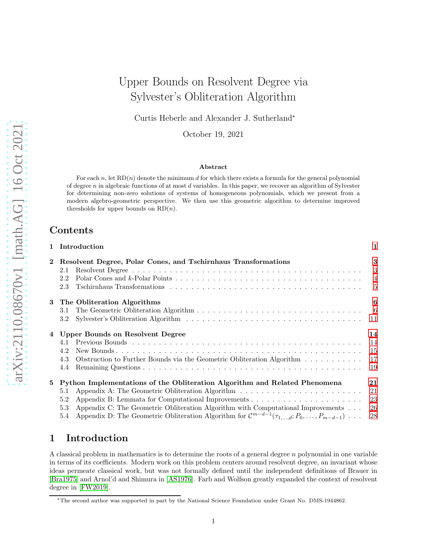# Upper Bounds on Resolvent Degree via Sylvester's Obliteration Algorithm

Curtis Heberle and Alexander J. Sutherland<sup>∗</sup>

October 19, 2021

#### Abstract

For each n, let  $RD(n)$  denote the minimum d for which there exists a formula for the general polynomial of degree n in algebraic functions of at most d variables. In this paper, we recover an algorithm of Sylvester for determining non-zero solutions of systems of homogeneous polynomials, which we present from a modern algebro-geometric perspective. We then use this geometric algorithm to determine improved thresholds for upper bounds on  $RD(n)$ .

## Contents

|              | 1 Introduction                                                                                                                                                                                                                                                                                                                                                       | 1                             |
|--------------|----------------------------------------------------------------------------------------------------------------------------------------------------------------------------------------------------------------------------------------------------------------------------------------------------------------------------------------------------------------------|-------------------------------|
| $\mathbf{2}$ | Resolvent Degree, Polar Cones, and Tschirnhaus Transformations<br>2.1<br>2.2<br>2.3                                                                                                                                                                                                                                                                                  | 3<br>3<br>$\overline{4}$<br>5 |
| 3            | The Obliteration Algorithms<br>3.1<br>3.2                                                                                                                                                                                                                                                                                                                            | 6                             |
| 4            | Upper Bounds on Resolvent Degree<br>4.1<br>4.2<br>Obstruction to Further Bounds via the Geometric Obliteration Algorithm<br>4.3<br>4.4                                                                                                                                                                                                                               | 14<br>14<br>-15<br>17<br>-19  |
| 5            | Python Implementations of the Obliteration Algorithm and Related Phenomena<br>Appendix A: The Geometric Obliteration Algorithm<br>5.1<br>5.2<br>Appendix C: The Geometric Obliteration Algorithm with Computational Improvements<br>5.3<br>Appendix D: The Geometric Obliteration Algorithm for $\mathcal{C}^{m-d-1}(\tau_{1,,d};P_0,\ldots,P_{m-d-1})\ldots$<br>5.4 | 21<br>21<br>-23<br>26<br>28   |

# <span id="page-0-0"></span>1 Introduction

A classical problem in mathematics is to determine the roots of a general degree  $n$  polynomial in one variable in terms of its coefficients. Modern work on this problem centers around resolvent degree, an invariant whose ideas permeate classical work, but was not formally defined until the independent definitions of Brauer in [\[Bra1975\]](#page-30-0) and Arnol'd and Shimura in [\[AS1976\]](#page-30-1). Farb and Wolfson greatly expanded the context of resolvent degree in [\[FW2019\]](#page-30-2).

<sup>∗</sup>The second author was supported in part by the National Science Foundation under Grant No. DMS-1944862.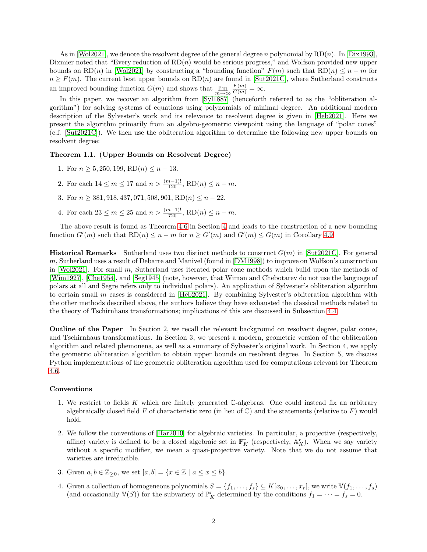As in [\[Wol2021\]](#page-31-0), we denote the resolvent degree of the general degree n polynomial by  $RD(n)$ . In [\[Dix1993\]](#page-30-3), Dixmier noted that "Every reduction of  $RD(n)$  would be serious progress," and Wolfson provided new upper bounds on RD(n) in [\[Wol2021\]](#page-31-0) by constructing a "bounding function"  $F(m)$  such that RD(n)  $\leq n-m$  for  $n \geq F(m)$ . The current best upper bounds on  $RD(n)$  are found in [\[Sut2021C\]](#page-31-1), where Sutherland constructs an improved bounding function  $G(m)$  and shows that  $\lim_{m \to \infty} \frac{F(m)}{G(m)} = \infty$ .

In this paper, we recover an algorithm from [\[Syl1887\]](#page-31-2) (henceforth referred to as the "obliteration algorithm") for solving systems of equations using polynomials of minimal degree. An additional modern description of the Sylvester's work and its relevance to resolvent degree is given in [\[Heb2021\]](#page-30-4). Here we present the algorithm primarily from an algebro-geometric viewpoint using the language of "polar cones" (c.f. [\[Sut2021C\]](#page-31-1)). We then use the obliteration algorithm to determine the following new upper bounds on resolvent degree:

#### Theorem 1.1. (Upper Bounds on Resolvent Degree)

- 1. For  $n \geq 5, 250, 199, RD(n) \leq n-13$ .
- 2. For each  $14 \le m \le 17$  and  $n > \frac{(m-1)!}{120}$ ,  $RD(n) \le n m$ .
- 3. For  $n \geq 381, 918, 437, 071, 508, 901, RD(n) \leq n 22$ .
- 4. For each  $23 \le m \le 25$  and  $n > \frac{(m-1)!}{720}$ ,  $RD(n) \le n m$ .

The above result is found as Theorem [4.6](#page-15-0) in Section [4](#page-13-0) and leads to the construction of a new bounding function  $G'(m)$  such that  $RD(n) \leq n - m$  for  $n \geq G'(m)$  and  $G'(m) \leq G(m)$  in Corollary [4.9.](#page-18-1)

**Historical Remarks** Sutherland uses two distinct methods to construct  $G(m)$  in [\[Sut2021C\]](#page-31-1). For general  $m$ , Sutherland uses a result of Debarre and Manivel (found in  $[DM1998]$ ) to improve on Wolfson's construction in [\[Wol2021\]](#page-31-0). For small m, Sutherland uses iterated polar cone methods which build upon the methods of [\[Wim1927\]](#page-31-3), [\[Che1954\]](#page-30-6), and [\[Seg1945\]](#page-30-7) (note, however, that Wiman and Chebotarev do not use the language of polars at all and Segre refers only to individual polars). An application of Sylvester's obliteration algorithm to certain small m cases is considered in [\[Heb2021\]](#page-30-4). By combining Sylvester's obliteration algorithm with the other methods described above, the authors believe they have exhausted the classical methods related to the theory of Tschirnhaus transformations; implications of this are discussed in Subsection [4.4.](#page-18-0)

Outline of the Paper In Section 2, we recall the relevant background on resolvent degree, polar cones, and Tschirnhaus transformations. In Section 3, we present a modern, geometric version of the obliteration algorithm and related phemonena, as well as a summary of Sylvester's original work. In Section 4, we apply the geometric obliteration algorithm to obtain upper bounds on resolvent degree. In Section 5, we discuss Python implementations of the geometric obliteration algorithm used for computations relevant for Theorem [4.6.](#page-15-0)

#### Conventions

- 1. We restrict to fields K which are finitely generated  $\mathbb{C}$ -algebras. One could instead fix an arbitrary algebraically closed field F of characteristic zero (in lieu of  $\mathbb{C}$ ) and the statements (relative to F) would hold.
- 2. We follow the conventions of [\[Har2010\]](#page-30-8) for algebraic varieties. In particular, a projective (respectively, affine) variety is defined to be a closed algebraic set in  $\mathbb{P}^r_K$  (respectively,  $\mathbb{A}^r_K$ ). When we say variety without a specific modifier, we mean a quasi-projective variety. Note that we do not assume that varieties are irreducible.
- 3. Given  $a, b \in \mathbb{Z}_{\geq 0}$ , we set  $[a, b] = \{x \in \mathbb{Z} \mid a \leq x \leq b\}.$
- 4. Given a collection of homogeneous polynomials  $S = \{f_1, \ldots, f_s\} \subseteq K[x_0, \ldots, x_r]$ , we write  $\mathbb{V}(f_1, \ldots, f_s)$ (and occasionally  $\mathbb{V}(S)$ ) for the subvariety of  $\mathbb{P}_K^r$  determined by the conditions  $f_1 = \cdots = f_s = 0$ .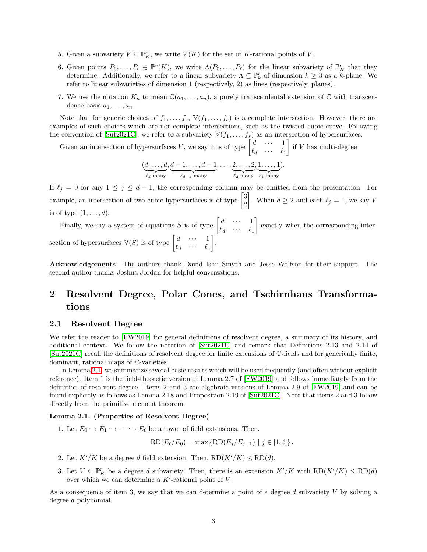- 5. Given a subvariety  $V \subseteq \mathbb{P}_{K}^{r}$ , we write  $V(K)$  for the set of K-rational points of V.
- 6. Given points  $P_0, \ldots, P_\ell \in \mathbb{P}^r(K)$ , we write  $\Lambda(P_0, \ldots, P_\ell)$  for the linear subvariety of  $\mathbb{P}_K^r$  that they determine. Additionally, we refer to a linear subvariety  $\Lambda \subseteq \mathbb{P}^r_k$  of dimension  $k \geq 3$  as a k-plane. We refer to linear subvarieties of dimension 1 (respectively, 2) as lines (respectively, planes).
- 7. We use the notation  $K_n$  to mean  $\mathbb{C}(a_1,\ldots,a_n)$ , a purely transcendental extension of  $\mathbb C$  with transcendence basis  $a_1, \ldots, a_n$ .

Note that for generic choices of  $f_1, \ldots, f_s$ ,  $\mathbb{V}(f_1, \ldots, f_s)$  is a complete intersection. However, there are examples of such choices which are not complete intersections, such as the twisted cubic curve. Following the convention of [\[Sut2021C\]](#page-31-1), we refer to a subvariety  $\mathbb{V}(f_1, \ldots, f_s)$  as an intersection of hypersurfaces.

Given an intersection of hypersurfaces V, we say it is of type  $\begin{bmatrix} d & \cdots & 1 \\ 0 & \cdots & 0 \end{bmatrix}$  $\ell_d$   $\cdots$   $\ell_1$ if  $V$  has multi-degree

$$
(\underbrace{d, \ldots, d}_{\ell_d \text{ many}}, \underbrace{d-1, \ldots, d-1}_{\ell_{d-1} \text{ many}}, \ldots, \underbrace{2, \ldots, 2}_{\ell_2 \text{ many}}, \underbrace{1, \ldots, 1}_{\ell_1 \text{ many}}).
$$

If  $\ell_j = 0$  for any  $1 \leq j \leq d-1$ , the corresponding column may be omitted from the presentation. For example, an intersection of two cubic hypersurfaces is of type  $\begin{bmatrix} 3 \\ 2 \end{bmatrix}$ 2 . When  $d \geq 2$  and each  $\ell_j = 1$ , we say V is of type  $(1, \ldots, d)$ .

Finally, we say a system of equations S is of type  $\begin{bmatrix} d & \cdots & 1 \\ 0 & \cdots & 0 \end{bmatrix}$  $\ell_d$   $\cdots$   $\ell_1$  exactly when the corresponding intersection of hypersurfaces  $\mathbb{V}(S)$  is of type  $\begin{bmatrix} d & \cdots & 1 \\ 0 & \cdots & 0 \end{bmatrix}$  $\ell_d$   $\cdots$   $\ell_1$ .

Acknowledgements The authors thank David Ishii Smyth and Jesse Wolfson for their support. The second author thanks Joshua Jordan for helpful conversations.

# <span id="page-2-0"></span>2 Resolvent Degree, Polar Cones, and Tschirnhaus Transformations

## <span id="page-2-1"></span>2.1 Resolvent Degree

We refer the reader to [\[FW2019\]](#page-30-2) for general definitions of resolvent degree, a summary of its history, and additional context. We follow the notation of [\[Sut2021C\]](#page-31-1) and remark that Definitions 2.13 and 2.14 of [\[Sut2021C\]](#page-31-1) recall the definitions of resolvent degree for finite extensions of C-fields and for generically finite, dominant, rational maps of C-varieties.

In Lemma [2.1,](#page-2-2) we summarize several basic results which will be used frequently (and often without explicit reference). Item 1 is the field-theoretic version of Lemma 2.7 of [\[FW2019\]](#page-30-2) and follows immediately from the definition of resolvent degree. Items 2 and 3 are algebraic versions of Lemma 2.9 of [\[FW2019\]](#page-30-2) and can be found explicitly as follows as Lemma 2.18 and Proposition 2.19 of [\[Sut2021C\]](#page-31-1). Note that items 2 and 3 follow directly from the primitive element theorem.

#### <span id="page-2-2"></span>Lemma 2.1. (Properties of Resolvent Degree)

1. Let  $E_0 \hookrightarrow E_1 \hookrightarrow \cdots \hookrightarrow E_{\ell}$  be a tower of field extensions. Then,

$$
RD(E_{\ell}/E_0) = \max \{ RD(E_j/E_{j-1}) | j \in [1, \ell] \}.
$$

- 2. Let  $K'/K$  be a degree d field extension. Then,  $RD(K'/K) \leq RD(d)$ .
- 3. Let  $V \subseteq \mathbb{P}_{K}^{r}$  be a degree d subvariety. Then, there is an extension  $K'/K$  with  $RD(K'/K) \leq RD(d)$ over which we can determine a  $K'$ -rational point of  $V$ .

As a consequence of item 3, we say that we can determine a point of a degree d subvariety V by solving a degree d polynomial.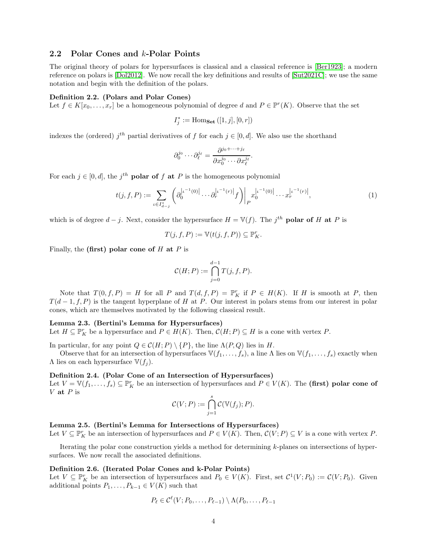## <span id="page-3-0"></span>2.2 Polar Cones and k-Polar Points

The original theory of polars for hypersurfaces is classical and a classical reference is [\[Ber1923\]](#page-30-9); a modern reference on polars is [\[Dol2012\]](#page-30-10). We now recall the key definitions and results of [\[Sut2021C\]](#page-31-1); we use the same notation and begin with the definition of the polars.

#### <span id="page-3-4"></span>Definition 2.2. (Polars and Polar Cones)

Let  $f \in K[x_0, \ldots, x_r]$  be a homogeneous polynomial of degree d and  $P \in \mathbb{P}^r(K)$ . Observe that the set

$$
I_j^* := \text{Hom}_{\mathbf{Set}}\left([1,j],[0,r]\right)
$$

indexes the (ordered)  $j<sup>th</sup>$  partial derivatives of f for each  $j \in [0, d]$ . We also use the shorthand

$$
\partial_0^{j_0}\cdots\partial_\ell^{j_\ell}=\frac{\partial^{j_0+\cdots+j_\ell}}{\partial x_0^{j_0}\cdots\partial x_\ell^{j_\ell}}.
$$

For each  $j \in [0, d]$ , the  $j<sup>th</sup>$  **polar of f at P** is the homogeneous polynomial

<span id="page-3-3"></span>
$$
t(j, f, P) := \sum_{\iota \in I_{d-j}^*} \left( \partial_0^{|\iota^{-1}(0)|} \cdots \partial_r^{|\iota^{-1}(r)|} f \right) \bigg|_P x_0^{|\iota^{-1}(0)|} \cdots x_r^{|\iota^{-1}(r)|}, \tag{1}
$$

which is of degree  $d-j$ . Next, consider the hypersurface  $H = \mathbb{V}(f)$ . The  $j^{th}$  polar of H at P is

$$
T(j, f, P) := \mathbb{V}(t(j, f, P)) \subseteq \mathbb{P}_{K}^{r}.
$$

Finally, the (first) polar cone of  $H$  at  $P$  is

$$
\mathcal{C}(H;P) := \bigcap_{j=0}^{d-1} T(j,f,P).
$$

Note that  $T(0, f, P) = H$  for all P and  $T(d, f, P) = \mathbb{P}_K^r$  if  $P \in H(K)$ . If H is smooth at P, then  $T(d-1, f, P)$  is the tangent hyperplane of H at P. Our interest in polars stems from our interest in polar cones, which are themselves motivated by the following classical result.

#### Lemma 2.3. (Bertini's Lemma for Hypersurfaces)

Let  $H \subseteq \mathbb{P}_{K}^{r}$  be a hypersurface and  $P \in H(K)$ . Then,  $\mathcal{C}(H; P) \subseteq H$  is a cone with vertex P.

In particular, for any point  $Q \in \mathcal{C}(H; P) \setminus \{P\}$ , the line  $\Lambda(P, Q)$  lies in H.

Observe that for an intersection of hypersurfaces  $\mathbb{V}(f_1, \ldots, f_s)$ , a line  $\Lambda$  lies on  $\mathbb{V}(f_1, \ldots, f_s)$  exactly when  $\Lambda$  lies on each hypersurface  $\mathbb{V}(f_i)$ .

#### <span id="page-3-2"></span>Definition 2.4. (Polar Cone of an Intersection of Hypersurfaces)

Let  $V = \mathbb{V}(f_1, \ldots, f_s) \subseteq \mathbb{P}_{K}^{r}$  be an intersection of hypersurfaces and  $P \in V(K)$ . The (first) polar cone of V at  $P$  is

$$
\mathcal{C}(V;P) := \bigcap_{j=1}^s \mathcal{C}(\mathbb{V}(f_j);P).
$$

## <span id="page-3-1"></span>Lemma 2.5. (Bertini's Lemma for Intersections of Hypersurfaces)

Let  $V \subseteq \mathbb{P}_{K}^{r}$  be an intersection of hypersurfaces and  $P \in V(K)$ . Then,  $\mathcal{C}(V;P) \subseteq V$  is a cone with vertex P.

Iterating the polar cone construction yields a method for determining k-planes on intersections of hypersurfaces. We now recall the associated definitions.

#### Definition 2.6. (Iterated Polar Cones and k-Polar Points)

Let  $V \subseteq \mathbb{P}_{K}^{r}$  be an intersection of hypersurfaces and  $P_0 \in V(K)$ . First, set  $\mathcal{C}^1(V; P_0) := \mathcal{C}(V; P_0)$ . Given additional points  $P_1, \ldots, P_{k-1} \in V(K)$  such that

$$
P_{\ell} \in \mathcal{C}^{\ell}(V; P_0, \ldots, P_{\ell-1}) \setminus \Lambda(P_0, \ldots, P_{\ell-1})
$$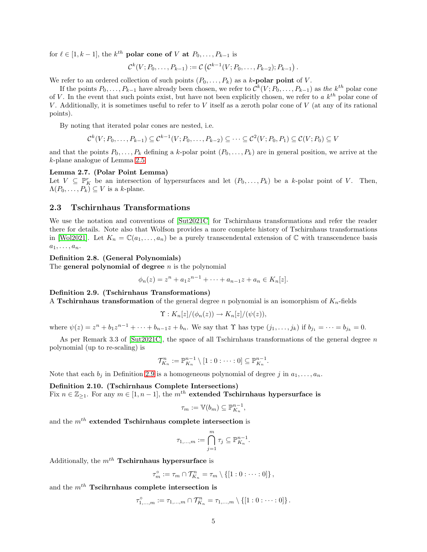for  $\ell \in [1, k-1]$ , the  $k^{th}$  polar cone of V at  $P_0, \ldots, P_{k-1}$  is

$$
\mathcal{C}^k(V; P_0, \ldots, P_{k-1}) := \mathcal{C}(\mathcal{C}^{k-1}(V; P_0, \ldots, P_{k-2}); P_{k-1}).
$$

We refer to an ordered collection of such points  $(P_0, \ldots, P_k)$  as a k-**polar point** of V.

If the points  $P_0, \ldots, P_{k-1}$  have already been chosen, we refer to  $\mathcal{C}^k(V; P_0, \ldots, P_{k-1})$  as the  $k^{th}$  polar cone of V. In the event that such points exist, but have not been explicitly chosen, we refer to  $a k^{th}$  polar cone of V. Additionally, it is sometimes useful to refer to V itself as a zeroth polar cone of V (at any of its rational points).

By noting that iterated polar cones are nested, i.e.

$$
\mathcal{C}^k(V; P_0, \ldots, P_{k-1}) \subseteq \mathcal{C}^{k-1}(V; P_0, \ldots, P_{k-2}) \subseteq \cdots \subseteq \mathcal{C}^2(V; P_0, P_1) \subseteq \mathcal{C}(V; P_0) \subseteq V
$$

and that the points  $P_0, \ldots, P_k$  defining a k-polar point  $(P_0, \ldots, P_k)$  are in general position, we arrive at the k-plane analogue of Lemma [2.5.](#page-3-1)

### <span id="page-4-2"></span>Lemma 2.7. (Polar Point Lemma)

Let  $V \subseteq \mathbb{P}_{K}^{r}$  be an intersection of hypersurfaces and let  $(P_{0},...,P_{k})$  be a k-polar point of V. Then,  $\Lambda(P_0,\ldots,P_k) \subseteq V$  is a k-plane.

#### <span id="page-4-0"></span>2.3 Tschirnhaus Transformations

We use the notation and conventions of [\[Sut2021C\]](#page-31-1) for Tschirnhaus transformations and refer the reader there for details. Note also that Wolfson provides a more complete history of Tschirnhaus transformations in [\[Wol2021\]](#page-31-0). Let  $K_n = \mathbb{C}(a_1, \ldots, a_n)$  be a purely transcendental extension of  $\mathbb C$  with transcendence basis  $a_1, \ldots, a_n.$ 

#### Definition 2.8. (General Polynomials)

The general polynomial of degree  $n$  is the polynomial

$$
\phi_n(z) = z^n + a_1 z^{n-1} + \dots + a_{n-1} z + a_n \in K_n[z].
$$

<span id="page-4-1"></span>Definition 2.9. (Tschirnhaus Transformations)

A Tschirnhaus transformation of the general degree n polynomial is an isomorphism of  $K_n$ -fields

$$
\Upsilon: K_n[z]/(\phi_n(z)) \to K_n[z]/(\psi(z)),
$$

where  $\psi(z) = z^n + b_1 z^{n-1} + \cdots + b_{n-1} z + b_n$ . We say that  $\Upsilon$  has type  $(j_1, \ldots, j_k)$  if  $b_{j_1} = \cdots = b_{j_k} = 0$ .

As per Remark 3.3 of [\[Sut2021C\]](#page-31-1), the space of all Tschirnhaus transformations of the general degree  $n$ polynomial (up to re-scaling) is

$$
\mathcal{T}_{K_n}^n := \mathbb{P}_{K_n}^{n-1} \setminus [1:0:\cdots:0] \subseteq \mathbb{P}_{K_n}^{n-1}.
$$

Note that each  $b_j$  in Definition [2.9](#page-4-1) is a homogeneous polynomial of degree j in  $a_1, \ldots, a_n$ .

## Definition 2.10. (Tschirnhaus Complete Intersections)

Fix  $n \in \mathbb{Z}_{\geq 1}$ . For any  $m \in [1, n-1]$ , the  $m<sup>th</sup>$  extended Tschirnhaus hypersurface is

$$
\tau_m := \mathbb{V}(b_m) \subseteq \mathbb{P}_{K_n}^{n-1},
$$

and the  $m^{th}$  extended Tschirnhaus complete intersection is

$$
\tau_{1,\ldots,m} := \bigcap_{j=1}^m \tau_j \subseteq \mathbb{P}_{K_n}^{n-1}.
$$

Additionally, the  $m<sup>th</sup>$  Tschirnhaus hypersurface is

$$
\tau_m^{\circ} := \tau_m \cap \mathcal{T}_{K_n}^n = \tau_m \setminus \{ [1:0:\cdots:0] \},
$$

and the  $m^{th}$  Tscihrnhaus complete intersection is

 $\tau_{1,...,m}^{\circ} := \tau_{1,...,m} \cap \mathcal{T}_{K_n}^n = \tau_{1,...,m} \setminus \{[1:0:\cdots:0]\}.$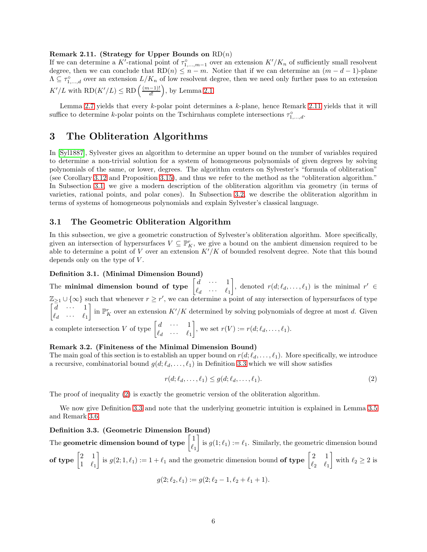#### <span id="page-5-2"></span>Remark 2.11. (Strategy for Upper Bounds on  $RD(n)$ )

If we can determine a K'-rational point of  $\tau_{1,\dots,m-1}^{\circ}$  over an extension  $K'/K_n$  of sufficiently small resolvent degree, then we can conclude that  $RD(n) \leq n-m$ . Notice that if we can determine an  $(m-d-1)$ -plane  $\Lambda \subseteq \tau_{1,\dots,d}^{\circ}$  over an extension  $L/K_n$  of low resolvent degree, then we need only further pass to an extension  $K'/L$  with  $RD(K'/L) \leq RD\left(\frac{(m-1)!}{d!}\right)$  $\left(\frac{(-1)!}{d!}\right)$ , by Lemma [2.1.](#page-2-2)

Lemma [2.7](#page-4-2) yields that every  $k$ -polar point determines a  $k$ -plane, hence Remark [2.11](#page-5-2) yields that it will suffice to determine k-polar points on the Tschirnhaus complete intersections  $\tau_{1,\dots,d}^{\circ}$ .

## <span id="page-5-0"></span>3 The Obliteration Algorithms

In [\[Syl1887\]](#page-31-2), Sylvester gives an algorithm to determine an upper bound on the number of variables required to determine a non-trivial solution for a system of homogeneous polynomials of given degrees by solving polynomials of the same, or lower, degrees. The algorithm centers on Sylvester's "formula of obliteration" (see Corollary [3.12](#page-8-0) and Proposition [3.15\)](#page-11-0), and thus we refer to the method as the "obliteration algorithm." In Subsection [3.1,](#page-5-1) we give a modern description of the obliteration algorithm via geometry (in terms of varieties, rational points, and polar cones). In Subsection [3.2,](#page-10-0) we describe the obliteration algorithm in terms of systems of homogeneous polynomials and explain Sylvester's classical language.

## <span id="page-5-1"></span>3.1 The Geometric Obliteration Algorithm

In this subsection, we give a geometric construction of Sylvester's obliteration algorithm. More specifically, given an intersection of hypersurfaces  $V \subseteq \mathbb{P}_{K}^{r}$ , we give a bound on the ambient dimension required to be able to determine a point of  $V$  over an extension  $K'/K$  of bounded resolvent degree. Note that this bound depends only on the type of  $V$ .

#### Definition 3.1. (Minimal Dimension Bound)

The minimal dimension bound of type  $\begin{bmatrix} d & \cdots & 1 \\ 0 & \cdots & 0 \end{bmatrix}$  $\ell_d$   $\cdots$   $\ell_1$ , denoted  $r(d; \ell_d, \ldots, \ell_1)$  is the minimal  $r' \in$  $\mathbb{Z}_{\geq 1} \cup \{\infty\}$  such that whenever  $r \geq r'$ , we can determine a point of any intersection of hypersurfaces of type  $\begin{bmatrix} d & \cdots & 1 \end{bmatrix}$  $\ell_d$   $\cdots$   $\ell_1$ in  $\mathbb{P}^r_K$  over an extension  $K'/K$  determined by solving polynomials of degree at most d. Given a complete intersection V of type  $\begin{bmatrix} d & \cdots & 1 \\ 0 & 0 & \cdots & 1 \end{bmatrix}$  $\ell_d$   $\cdots$   $\ell_1$ , we set  $r(V) := r(d; \ell_d, \ldots, \ell_1)$ .

### Remark 3.2. (Finiteness of the Minimal Dimension Bound)

The main goal of this section is to establish an upper bound on  $r(d; \ell_d, \ldots, \ell_1)$ . More specifically, we introduce a recursive, combinatorial bound  $g(d; \ell_d, \ldots, \ell_1)$  in Definition [3.3](#page-5-3) which we will show satisfies

<span id="page-5-4"></span>
$$
r(d; \ell_d, \dots, \ell_1) \le g(d; \ell_d, \dots, \ell_1). \tag{2}
$$

The proof of inequality [\(2\)](#page-5-4) is exactly the geometric version of the obliteration algorithm.

We now give Definition [3.3](#page-5-3) and note that the underlying geometric intuition is explained in Lemma [3.5](#page-6-0) and Remark [3.6.](#page-6-1)

## <span id="page-5-3"></span>Definition 3.3. (Geometric Dimension Bound)

The geometric dimension bound of type  $\left[\frac{1}{\ell}\right]$  $\ell_1$ is  $g(1; \ell_1) := \ell_1$ . Similarly, the geometric dimension bound of type  $\begin{bmatrix} 2 & 1 \\ 1 & 0 \end{bmatrix}$  $1 \ell_1$ is  $g(2; 1, \ell_1) := 1 + \ell_1$  and the geometric dimension bound of type  $\begin{bmatrix} 2 & 1 \\ \ell & \ell \end{bmatrix}$  $\ell_2$   $\ell_1$ with  $\ell_2 \geq 2$  is

$$
g(2; \ell_2, \ell_1) := g(2; \ell_2 - 1, \ell_2 + \ell_1 + 1).
$$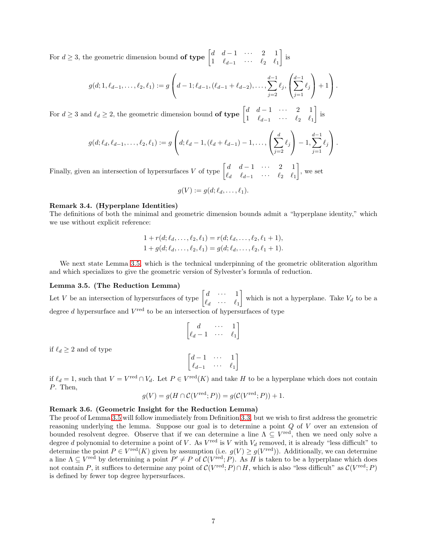For  $d \geq 3$ , the geometric dimension bound **of type**  $\begin{bmatrix} d & d-1 & \cdots & 2 & 1 \\ 1 & \ell & \ell & \end{bmatrix}$ 1  $\ell_{d-1}$  · · ·  $\ell_2$   $\ell_1$  $\Big]$  is

$$
g(d; 1, \ell_{d-1}, \ldots, \ell_2, \ell_1) := g\left(d-1; \ell_{d-1}, (\ell_{d-1}+\ell_{d-2}), \ldots, \sum_{j=2}^{d-1} \ell_j, \left(\sum_{j=1}^{d-1} \ell_j\right) + 1\right).
$$

For  $d \geq 3$  and  $\ell_d \geq 2$ , the geometric dimension bound **of type**  $\begin{bmatrix} d & d-1 & \cdots & 2 & 1 \\ 1 & \ell & \cdots & \ell \end{bmatrix}$ 1  $\ell_{d-1}$  · · ·  $\ell_2$   $\ell_1$ is

$$
g(d; \ell_d, \ell_{d-1}, \ldots, \ell_2, \ell_1) := g\left(d; \ell_d - 1, (\ell_d + \ell_{d-1}) - 1, \ldots, \left(\sum_{j=2}^d \ell_j\right) - 1, \sum_{j=1}^{d-1} \ell_j\right).
$$

Finally, given an intersection of hypersurfaces V of type  $\begin{bmatrix} d & d-1 & \cdots & 2 & 1 \\ a & \ell & \ell & 1 \end{bmatrix}$  $\ell_d$   $\ell_{d-1}$   $\cdots$   $\ell_2$   $\ell_1$  $\Big]$ , we set

$$
g(V) := g(d; \ell_d, \ldots, \ell_1).
$$

#### Remark 3.4. (Hyperplane Identities)

The definitions of both the minimal and geometric dimension bounds admit a "hyperplane identity," which we use without explicit reference:

$$
1 + r(d; \ell_d, \ldots, \ell_2, \ell_1) = r(d; \ell_d, \ldots, \ell_2, \ell_1 + 1),
$$
  

$$
1 + g(d; \ell_d, \ldots, \ell_2, \ell_1) = g(d; \ell_d, \ldots, \ell_2, \ell_1 + 1).
$$

We next state Lemma [3.5,](#page-6-0) which is the technical underpinning of the geometric obliteration algorithm and which specializes to give the geometric version of Sylvester's formula of reduction.

#### <span id="page-6-0"></span>Lemma 3.5. (The Reduction Lemma)

Let V be an intersection of hypersurfaces of type  $\begin{bmatrix} d & \cdots & 1 \\ \ell & & \end{bmatrix}$  $\ell_d$   $\cdots$   $\ell_1$ which is not a hyperplane. Take  $V_d$  to be a degree  $d$  hypersurface and  $V^{\text{red}}$  to be an intersection of hypersurfaces of type

$$
\begin{bmatrix} d & \cdots & 1 \\ \ell_d - 1 & \cdots & \ell_1 \end{bmatrix}
$$

$$
\begin{bmatrix} d-1 & \cdots & 1 \\ \ell_{d-1} & \cdots & \ell_1 \end{bmatrix}
$$

if  $\ell_d \geq 2$  and of type

if  $\ell_d = 1$ , such that  $V = V^{\text{red}} \cap V_d$ . Let  $P \in V^{\text{red}}(K)$  and take H to be a hyperplane which does not contain P. Then,

$$
g(V) = g(H \cap C(V^{\text{red}}; P)) = g(C(V^{\text{red}}; P)) + 1.
$$

#### <span id="page-6-1"></span>Remark 3.6. (Geometric Insight for the Reduction Lemma)

The proof of Lemma [3.5](#page-6-0) will follow immediately from Definition [3.3,](#page-5-3) but we wish to first address the geometric reasoning underlying the lemma. Suppose our goal is to determine a point Q of V over an extension of bounded resolvent degree. Observe that if we can determine a line  $\Lambda \subseteq V^{\text{red}}$ , then we need only solve a degree d polynomial to determine a point of V. As  $V^{\text{red}}$  is V with  $V_d$  removed, it is already "less difficult" to determine the point  $P \in V^{\text{red}}(K)$  given by assumption (i.e.  $g(V) \geq g(V^{\text{red}})$ ). Additionally, we can determine a line  $\Lambda \subseteq V^{\text{red}}$  by determining a point  $P' \neq P$  of  $C(V^{\text{red}}; P)$ . As H is taken to be a hyperplane which does not contain P, it suffices to determine any point of  $C(V^{\text{red}};P) \cap H$ , which is also "less difficult" as  $C(V^{\text{red}};P)$ is defined by fewer top degree hypersurfaces.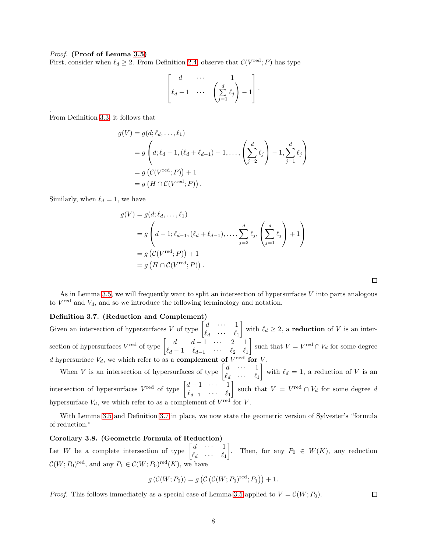#### *Proof.* (Proof of Lemma [3.5\)](#page-6-0)

First, consider when  $\ell_d \geq 2$ . From Definition [2.4,](#page-3-2) observe that  $\mathcal{C}(V^{\text{red}}; P)$  has type

$$
\begin{bmatrix} d & \cdots & 1 \\ \ell_d - 1 & \cdots & \left( \sum_{j=1}^d \ell_j \right) - 1 \end{bmatrix}.
$$

From Definition [3.3,](#page-5-3) it follows that

.

$$
g(V) = g(d; \ell_d, ..., \ell_1)
$$
  
=  $g\left(d; \ell_d - 1, (\ell_d + \ell_{d-1}) - 1, ..., \left(\sum_{j=2}^d \ell_j\right) - 1, \sum_{j=1}^d \ell_j\right)$   
=  $g(C(V^{\text{red}}; P)) + 1$   
=  $g(H \cap C(V^{\text{red}}; P)).$ 

Similarly, when  $\ell_d = 1$ , we have

$$
g(V) = g(d; \ell_d, ..., \ell_1)
$$
  
=  $g\left(d - 1; \ell_{d-1}, (\ell_d + \ell_{d-1}), ..., \sum_{j=2}^d \ell_j, \left(\sum_{j=1}^d \ell_j\right) + 1\right)$   
=  $g(C(V^{\text{red}}; P)) + 1$   
=  $g(H \cap C(V^{\text{red}}; P)).$ 

 $\Box$ 

As in Lemma [3.5,](#page-6-0) we will frequently want to split an intersection of hypersurfaces  $V$  into parts analogous to  $V^{\text{red}}$  and  $V_d$ , and so we introduce the following terminology and notation.

## <span id="page-7-0"></span>Definition 3.7. (Reduction and Complement)

Given an intersection of hypersurfaces V of type  $\begin{bmatrix} d & \cdots & 1 \\ \ell & & \end{bmatrix}$  $\ell_d$   $\cdots$   $\ell_1$ with  $\ell_d \geq 2$ , a **reduction** of V is an intersection of hypersurfaces  $V^{\text{red}}$  of type  $\begin{bmatrix} d & d-1 & \cdots & 2 & 1 \\ a & 1 & a & 0 \end{bmatrix}$  $\ell_d - 1$   $\ell_{d-1}$   $\cdots$   $\ell_2$   $\ell_1$ such that  $V = V^{\text{red}} \cap V_d$  for some degree d hypersurface  $V_d$ , we which refer to as a **complement of**  $V^{\text{red}}$  for V.

When V is an intersection of hypersurfaces of type  $\begin{bmatrix} d & \cdots & 1 \\ \ell & & \end{bmatrix}$  $\ell_d$   $\cdots$   $\ell_1$ with  $\ell_d = 1$ , a reduction of V is an intersection of hypersurfaces  $V^{\text{red}}$  of type  $\begin{bmatrix} d-1 & \cdots & 1 \\ 0 & 1 & \cdots & 1 \end{bmatrix}$  $\ell_{d-1}$  · · · ·  $\ell_1$ such that  $V = V^{\text{red}} \cap V_d$  for some degree d hypersurface  $V_d$ , we which refer to as a complement of  $V^{\text{red}}$  for V.

With Lemma [3.5](#page-6-0) and Definition [3.7](#page-7-0) in place, we now state the geometric version of Sylvester's "formula of reduction."

## Corollary 3.8. (Geometric Formula of Reduction)

Let W be a complete intersection of type  $\begin{bmatrix} d & \cdots & 1 \\ \ell & & \end{bmatrix}$  $\ell_d$   $\cdots$   $\ell_1$ Then, for any  $P_0 \in W(K)$ , any reduction  $\mathcal{C}(W; P_0)^{\text{red}}$ , and any  $P_1 \in \mathcal{C}(W; P_0)^{\text{red}}(K)$ , we have

$$
g\left(\mathcal{C}(W; P_0)\right) = g\left(\mathcal{C}\left(\mathcal{C}(W; P_0)^{\text{red}}; P_1\right)\right) + 1.
$$

*Proof.* This follows immediately as a special case of Lemma [3.5](#page-6-0) applied to  $V = \mathcal{C}(W; P_0)$ .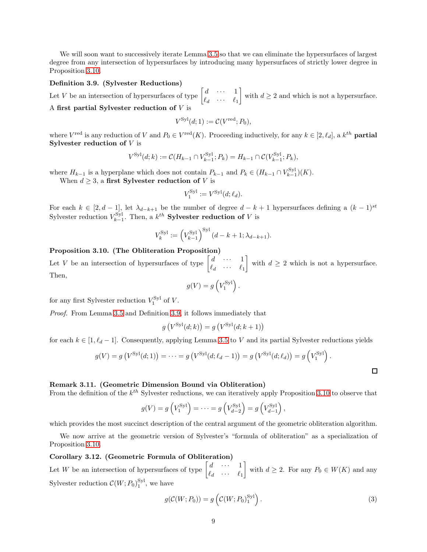We will soon want to successively iterate Lemma [3.5](#page-6-0) so that we can eliminate the hypersurfaces of largest degree from any intersection of hypersurfaces by introducing many hypersurfaces of strictly lower degree in Proposition [3.10.](#page-8-1)

#### <span id="page-8-2"></span>Definition 3.9. (Sylvester Reductions)

Let V be an intersection of hypersurfaces of type  $\begin{bmatrix} d & \cdots & 1 \\ 0 & \cdots & 0 \end{bmatrix}$  $\ell_d$   $\cdots$   $\ell_1$ with  $d \geq 2$  and which is not a hypersurface. A first partial Sylvester reduction of  $V$  is

$$
V^{\mathrm{Syl}}(d;1) := \mathcal{C}(V^{\mathrm{red}}; P_0),
$$

where  $V^{\text{red}}$  is any reduction of V and  $P_0 \in V^{\text{red}}(K)$ . Proceeding inductively, for any  $k \in [2, \ell_d]$ , a  $k^{th}$  **partial** Sylvester reduction of  $V$  is

$$
V^{\text{Syl}}(d;k) := \mathcal{C}(H_{k-1} \cap V_{k-1}^{\text{Syl}}; P_k) = H_{k-1} \cap \mathcal{C}(V_{k-1}^{\text{Syl}}; P_k),
$$

where  $H_{k-1}$  is a hyperplane which does not contain  $P_{k-1}$  and  $P_k \in (H_{k-1} \cap V_{k-1}^{\text{Syl}})(K)$ .

When  $d \geq 3$ , a first Sylvester reduction of V is

$$
V_1^{\text{Syl}} := V^{\text{Syl}}(d; \ell_d).
$$

For each  $k \in [2, d-1]$ , let  $\lambda_{d-k+1}$  be the number of degree  $d-k+1$  hypersurfaces defining a  $(k-1)^{st}$ Sylvester reduction  $V_{k-1}^{\text{Syl}}$ . Then, a  $k^{th}$  **Sylvester reduction of** V is

$$
V_k^{\text{Syl}} := \left(V_{k-1}^{\text{Syl}}\right)^{\text{Syl}} (d - k + 1; \lambda_{d-k+1}).
$$

## <span id="page-8-1"></span>Proposition 3.10. (The Obliteration Proposition)

Let V be an intersection of hypersurfaces of type  $\begin{bmatrix} d & \cdots & 1 \\ 0 & \cdots & 0 \end{bmatrix}$  $\ell_d$   $\cdots$   $\ell_1$ with  $d \geq 2$  which is not a hypersurface. Then,

$$
g(V) = g\left(V_1^{\text{Syl}}\right).
$$

for any first Sylvester reduction  $V_1^{\text{Syl}}$  of V.

*Proof.* From Lemma [3.5](#page-6-0) and Definition [3.9,](#page-8-2) it follows immediately that

$$
g\left(V^{\text{Syl}}(d;k)\right) = g\left(V^{\text{Syl}}(d;k+1)\right)
$$

for each  $k \in [1, \ell_d - 1]$ . Consequently, applying Lemma [3.5](#page-6-0) to V and its partial Sylvester reductions yields

$$
g(V) = g(V^{Syl}(d; 1)) = \cdots = g(V^{Syl}(d; \ell_d - 1)) = g(V^{Syl}(d; \ell_d)) = g(V^{Syl}) .
$$

## Remark 3.11. (Geometric Dimension Bound via Obliteration)

From the definition of the  $k^{th}$  Sylvester reductions, we can iteratively apply Proposition [3.10](#page-8-1) to observe that

$$
g(V) = g\left(V_1^{\text{Syl}}\right) = \dots = g\left(V_{d-2}^{\text{Syl}}\right) = g\left(V_{d-1}^{\text{Syl}}\right),
$$

which provides the most succinct description of the central argument of the geometric obliteration algorithm.

We now arrive at the geometric version of Sylvester's "formula of obliteration" as a specialization of Proposition [3.10.](#page-8-1)

## <span id="page-8-0"></span>Corollary 3.12. (Geometric Formula of Obliteration)

Let W be an intersection of hypersurfaces of type  $\begin{bmatrix} d & \cdots & 1 \\ 0 & \cdots & 0 \end{bmatrix}$  $\ell_d$   $\cdots$   $\ell_1$ with  $d \geq 2$ . For any  $P_0 \in W(K)$  and any Sylvester reduction  $\mathcal{C}(W; P_0)_1^{\text{Syl}}$ , we have

$$
g(\mathcal{C}(W; P_0)) = g\left(\mathcal{C}(W; P_0)_1^{\text{Syl}}\right). \tag{3}
$$

 $\Box$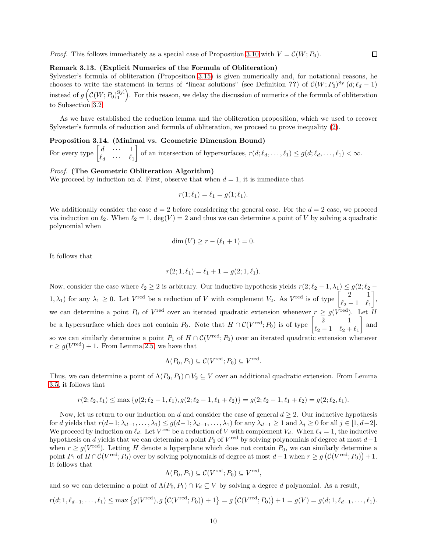*Proof.* This follows immediately as a special case of Proposition [3.10](#page-8-1) with  $V = \mathcal{C}(W; P_0)$ .

#### Remark 3.13. (Explicit Numerics of the Formula of Obliteration)

Sylvester's formula of obliteration (Proposition [3.15\)](#page-11-0) is given numerically and, for notational reasons, he chooses to write the statement in terms of "linear solutions" (see Definition ??) of  $\mathcal{C}(W; P_0)^{\text{Syl}}(d; \ell_d - 1)$ instead of  $g\left(\mathcal{C}(W; P_0)_1^{\text{Syl}}\right)$ . For this reason, we delay the discussion of numerics of the formula of obliteration to Subsection [3.2.](#page-10-0)

As we have established the reduction lemma and the obliteration proposition, which we used to recover Sylvester's formula of reduction and formula of obliteration, we proceed to prove inequality [\(2\)](#page-5-4).

Proposition 3.14. (Minimal vs. Geometric Dimension Bound)

For every type  $\begin{bmatrix} d & \cdots & 1 \\ 0 & \cdots & 0 \end{bmatrix}$  $\ell_d$   $\cdots$   $\ell_1$ of an intersection of hypersurfaces,  $r(d; \ell_d, \ldots, \ell_1) \leq g(d; \ell_d, \ldots, \ell_1) < \infty$ .

#### *Proof.* (The Geometric Obliteration Algorithm)

We proceed by induction on d. First, observe that when  $d = 1$ , it is immediate that

$$
r(1; \ell_1) = \ell_1 = g(1; \ell_1).
$$

We additionally consider the case  $d = 2$  before considering the general case. For the  $d = 2$  case, we proceed via induction on  $\ell_2$ . When  $\ell_2 = 1$ ,  $\deg(V) = 2$  and thus we can determine a point of V by solving a quadratic polynomial when

$$
\dim(V) \ge r - (\ell_1 + 1) = 0.
$$

It follows that

$$
r(2; 1, \ell_1) = \ell_1 + 1 = g(2; 1, \ell_1).
$$

Now, consider the case where  $\ell_2 \geq 2$  is arbitrary. Our inductive hypothesis yields  $r(2; \ell_2 - 1, \lambda_1) \leq g(2; \ell_2 - 1)$  $(1, \lambda_1)$  for any  $\lambda_1 \geq 0$ . Let  $V^{\text{red}}$  be a reduction of V with complement  $V_2$ . As  $V^{\text{red}}$  is of type  $\begin{bmatrix} 2 & 1 \\ 0 & 1 \end{bmatrix}$  $\ell_2-1 \quad \ell_1$  , we can determine a point  $P_0$  of  $V^{\text{red}}$  over an iterated quadratic extension whenever  $r \geq g(V^{\text{red}})$ . Let H be a hypersurface which does not contain  $P_0$ . Note that  $H \cap C(V^{\text{red}}; P_0)$  is of type  $\begin{bmatrix} 2 & 1 \\ \ell_{\text{red}} & 1 & \ell_{\text{red}} \end{bmatrix}$  $\ell_2 - 1$   $\ell_2 + \ell_1$ | and so we can similarly determine a point  $P_1$  of  $H \cap C(V^{\text{red}}; P_0)$  over an iterated quadratic extension whenever  $r \geq g(V^{\text{red}}) + 1$ . From Lemma [2.5,](#page-3-1) we have that

$$
\Lambda(P_0, P_1) \subseteq \mathcal{C}(V^{\text{red}}; P_0) \subseteq V^{\text{red}}.
$$

Thus, we can determine a point of  $\Lambda(P_0, P_1) \cap V_2 \subseteq V$  over an additional quadratic extension. From Lemma [3.5,](#page-6-0) it follows that

$$
r(2; \ell_2, \ell_1) \le \max\left\{g(2; \ell_2 - 1, \ell_1), g(2; \ell_2 - 1, \ell_1 + \ell_2)\right\} = g(2; \ell_2 - 1, \ell_1 + \ell_2) = g(2; \ell_2, \ell_1).
$$

Now, let us return to our induction on d and consider the case of general  $d \geq 2$ . Our inductive hypothesis for d yields that  $r(d-1; \lambda_{d-1}, \ldots, \lambda_1) \leq g(d-1; \lambda_{d-1}, \ldots, \lambda_1)$  for any  $\lambda_{d-1} \geq 1$  and  $\lambda_j \geq 0$  for all  $j \in [1, d-2]$ . We proceed by induction on  $\ell_d$ . Let  $V^{\text{red}}$  be a reduction of V with complement  $V_d$ . When  $\ell_d = 1$ , the inductive hypothesis on d yields that we can determine a point  $P_0$  of  $V^{\text{red}}$  by solving polynomials of degree at most  $d-1$ when  $r \geq g(V^{\text{red}})$ . Letting H denote a hyperplane which does not contain  $P_0$ , we can similarly determine a point  $P_1$  of  $H \cap C(V^{\text{red}}; P_0)$  over by solving polynomials of degree at most  $d-1$  when  $r \geq g\left(C(V^{\text{red}}; P_0)\right) + 1$ . It follows that

$$
\Lambda(P_0, P_1) \subseteq \mathcal{C}(V^{\text{red}}; P_0) \subseteq V^{\text{red}},
$$

and so we can determine a point of  $\Lambda(P_0, P_1) \cap V_d \subseteq V$  by solving a degree d polynomial. As a result,

$$
r(d; 1, \ell_{d-1}, \dots, \ell_1) \le \max\left\{g(V^{\text{red}}), g\left(\mathcal{C}(V^{\text{red}}; P_0)\right) + 1\right\} = g\left(\mathcal{C}(V^{\text{red}}; P_0)\right) + 1 = g(V) = g(d; 1, \ell_{d-1}, \dots, \ell_1).
$$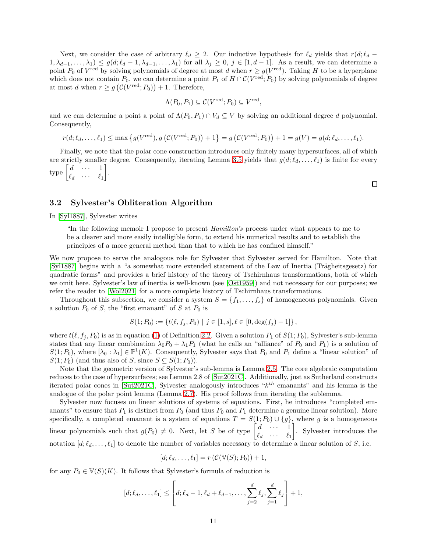Next, we consider the case of arbitrary  $\ell_d \geq 2$ . Our inductive hypothesis for  $\ell_d$  yields that  $r(d; \ell_d 1, \lambda_{d-1}, \ldots, \lambda_1) \leq g(d; \ell_d - 1, \lambda_{d-1}, \ldots, \lambda_1)$  for all  $\lambda_j \geq 0, j \in [1, d-1]$ . As a result, we can determine a point  $P_0$  of  $V^{\text{red}}$  by solving polynomials of degree at most d when  $r \geq g(V^{\text{red}})$ . Taking H to be a hyperplane which does not contain  $P_0$ , we can determine a point  $P_1$  of  $H \cap C(V^{\text{red}}; P_0)$  by solving polynomials of degree at most d when  $r \geq g\left(\mathcal{C}(V^{\text{red}}; P_0)\right) + 1$ . Therefore,

$$
\Lambda(P_0, P_1) \subseteq \mathcal{C}(V^{\text{red}}; P_0) \subseteq V^{\text{red}},
$$

and we can determine a point a point of  $\Lambda(P_0, P_1) \cap V_d \subseteq V$  by solving an additional degree d polynomial. Consequently,

$$
r(d; \ell_d, \ldots, \ell_1) \le \max\left\{g(V^{\text{red}}), g\left(\mathcal{C}(V^{\text{red}}; P_0)\right) + 1\right\} = g\left(\mathcal{C}(V^{\text{red}}; P_0)\right) + 1 = g(V) = g(d; \ell_d, \ldots, \ell_1).
$$

Finally, we note that the polar cone construction introduces only finitely many hypersurfaces, all of which are strictly smaller degree. Consequently, iterating Lemma [3.5](#page-6-0) yields that  $g(d; \ell_d, \ldots, \ell_1)$  is finite for every type  $\begin{bmatrix} d & \cdots & 1 \\ 0 & & 0 \end{bmatrix}$  $\ell_d$   $\cdots$   $\ell_1$ .

## <span id="page-10-0"></span>3.2 Sylvester's Obliteration Algorithm

In [\[Syl1887\]](#page-31-2), Sylvester writes

"In the following memoir I propose to present *Hamilton's* process under what appears to me to be a clearer and more easily intelligible form, to extend his numerical results and to establish the principles of a more general method than that to which he has confined himself."

We now propose to serve the analogous role for Sylvester that Sylvester served for Hamilton. Note that [\[Syl1887\]](#page-31-2) begins with a "a somewhat more extended statement of the Law of Inertia (Trägheitsgesetz) for quadratic forms" and provides a brief history of the theory of Tschirnhaus transformations, both of which we omit here. Sylvester's law of inertia is well-known (see [\[Ost1959\]](#page-30-11)) and not necessary for our purposes; we refer the reader to [\[Wol2021\]](#page-31-0) for a more complete history of Tschirnhaus transformations.

Throughout this subsection, we consider a system  $S = \{f_1, \ldots, f_s\}$  of homogeneous polynomials. Given a solution  $P_0$  of S, the "first emanant" of S at  $P_0$  is

$$
S(1; P_0) := \{ t(\ell, f_j, P_0) \mid j \in [1, s], \ell \in [0, \deg(f_j) - 1] \},
$$

where  $t(\ell, f_i, P_0)$  is as in equation [\(1\)](#page-3-3) of Definition [2.2.](#page-3-4) Given a solution  $P_1$  of  $S(1; P_0)$ , Sylvester's sub-lemma states that any linear combination  $\lambda_0 P_0 + \lambda_1 P_1$  (what he calls an "alliance" of  $P_0$  and  $P_1$ ) is a solution of  $S(1; P_0)$ , where  $[\lambda_0 : \lambda_1] \in \mathbb{P}^1(K)$ . Consequently, Sylvester says that  $P_0$  and  $P_1$  define a "linear solution" of  $S(1; P_0)$  (and thus also of S, since  $S \subseteq S(1; P_0)$ ).

Note that the geometric version of Sylvester's sub-lemma is Lemma [2.5.](#page-3-1) The core algebraic computation reduces to the case of hypersurfaces; see Lemma 2.8 of [\[Sut2021C\]](#page-31-1). Additionally, just as Sutherland constructs iterated polar cones in [\[Sut2021C\]](#page-31-1), Sylvester analogously introduces "k th emanants" and his lemma is the analogue of the polar point lemma (Lemma [2.7\)](#page-4-2). His proof follows from iterating the sublemma.

Sylvester now focuses on linear solutions of systems of equations. First, he introduces "completed emanants" to ensure that  $P_1$  is distinct from  $P_0$  (and thus  $P_0$  and  $P_1$  determine a genuine linear solution). More specifically, a completed emanant is a system of equations  $T = S(1; P_0) \cup \{g\}$ , where g is a homogeneous linear polynomials such that  $g(P_0) \neq 0$ . Next, let S be of type  $\begin{bmatrix} d & \cdots & 1 \\ \ell & \cdots & \ell \end{bmatrix}$  $\ell_d$   $\cdots$   $\ell_1$  . Sylvester introduces the notation  $[d, \ell_d, \ldots, \ell_1]$  to denote the number of variables necessary to determine a linear solution of S, i.e.

$$
[d; \ell_d, \ldots, \ell_1] = r\left(\mathcal{C}(\mathbb{V}(S); P_0)\right) + 1,
$$

for any  $P_0 \in V(S)(K)$ . It follows that Sylvester's formula of reduction is

$$
[d; \ell_d, \ldots, \ell_1] \leq \left[ d; \ell_d - 1, \ell_d + \ell_{d-1}, \ldots, \sum_{j=2}^d \ell_j, \sum_{j=1}^d \ell_j \right] + 1,
$$

 $\Box$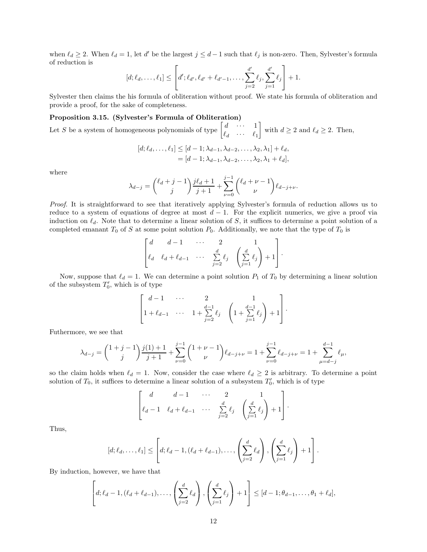when  $\ell_d \geq 2$ . When  $\ell_d = 1$ , let d' be the largest  $j \leq d-1$  such that  $\ell_j$  is non-zero. Then, Sylvester's formula of reduction is

$$
[d; \ell_d, \ldots, \ell_1] \leq \left[ d'; \ell_{d'}, \ell_{d'} + \ell_{d'-1}, \ldots, \sum_{j=2}^{d'} \ell_j, \sum_{j=1}^{d'} \ell_j \right] + 1.
$$

Sylvester then claims the his formula of obliteration without proof. We state his formula of obliteration and provide a proof, for the sake of completeness.

#### <span id="page-11-0"></span>Proposition 3.15. (Sylvester's Formula of Obliteration)

Let S be a system of homogeneous polynomials of type  $\begin{bmatrix} d & \cdots & 1 \\ 0 & \cdots & 0 \end{bmatrix}$  $\ell_d$   $\cdots$   $\ell_1$ with  $d \geq 2$  and  $\ell_d \geq 2$ . Then,

$$
[d; \ell_d, \dots, \ell_1] \leq [d-1; \lambda_{d-1}, \lambda_{d-2}, \dots, \lambda_2, \lambda_1] + \ell_d,
$$
  
= [d-1; \lambda\_{d-1}, \lambda\_{d-2}, \dots, \lambda\_2, \lambda\_1 + \ell\_d],

where

$$
\lambda_{d-j} = {\ell_d + j - 1 \choose j} \frac{j\ell_d + 1}{j+1} + \sum_{\nu=0}^{j-1} {\ell_d + \nu - 1 \choose \nu} \ell_{d-j+\nu}.
$$

*Proof.* It is straightforward to see that iteratively applying Sylvester's formula of reduction allows us to reduce to a system of equations of degree at most  $d-1$ . For the explicit numerics, we give a proof via induction on  $\ell_d$ . Note that to determine a linear solution of S, it suffices to determine a point solution of a completed emanant  $T_0$  of S at some point solution  $P_0$ . Additionally, we note that the type of  $T_0$  is

$$
\begin{bmatrix} d & d-1 & \cdots & 2 & 1 \\ \ell_d & \ell_d + \ell_{d-1} & \cdots & \sum_{j=2}^d \ell_j & \left( \sum_{j=1}^d \ell_j \right) + 1 \end{bmatrix}.
$$

Now, suppose that  $\ell_d = 1$ . We can determine a point solution  $P_1$  of  $T_0$  by determining a linear solution of the subsystem  $T'_0$ , which is of type

$$
\begin{bmatrix} d-1 & \cdots & 2 & 1 \\ 1 + \ell_{d-1} & \cdots & 1 + \sum_{j=2}^{d-1} \ell_j & \left( 1 + \sum_{j=1}^{d-1} \ell_j \right) + 1 \end{bmatrix}.
$$

Futhermore, we see that

$$
\lambda_{d-j} = \binom{1+j-1}{j} \frac{j(1)+1}{j+1} + \sum_{\nu=0}^{j-1} \binom{1+\nu-1}{\nu} \ell_{d-j+\nu} = 1 + \sum_{\nu=0}^{j-1} \ell_{d-j+\nu} = 1 + \sum_{\mu=d-j}^{d-1} \ell_{\mu},
$$

so the claim holds when  $\ell_d = 1$ . Now, consider the case where  $\ell_d \geq 2$  is arbitrary. To determine a point solution of  $T_0$ , it suffices to determine a linear solution of a subsystem  $T'_0$ , which is of type

$$
\begin{bmatrix} d & d-1 & \cdots & 2 & 1 \\ \ell_d-1 & \ell_d+\ell_{d-1} & \cdots & \sum_{j=2}^d \ell_j & \left(\sum_{j=1}^d \ell_j\right)+1 \end{bmatrix}.
$$

Thus,

$$
[d; \ell_d, \ldots, \ell_1] \leq \left[d; \ell_d - 1, (\ell_d + \ell_{d-1}), \ldots, \left(\sum_{j=2}^d \ell_d\right), \left(\sum_{j=1}^d \ell_j\right) + 1\right].
$$

By induction, however, we have that

$$
\left[d; \ell_d-1, (\ell_d+\ell_{d-1}), \ldots, \left(\sum_{j=2}^d \ell_d\right), \left(\sum_{j=1}^d \ell_j\right)+1\right] \leq [d-1; \theta_{d-1}, \ldots, \theta_1+\ell_d],
$$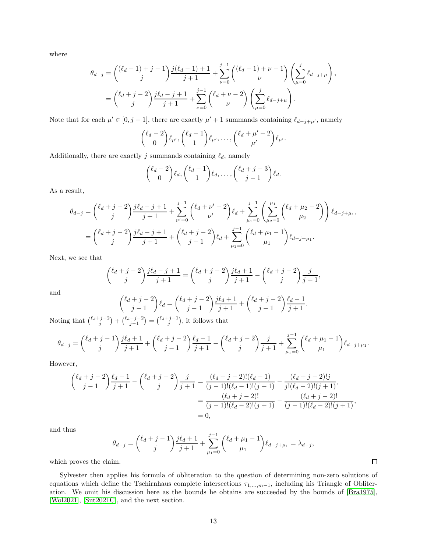where

$$
\theta_{d-j} = \binom{(\ell_d - 1) + j - 1}{j} \frac{j(\ell_d - 1) + 1}{j + 1} + \sum_{\nu=0}^{j-1} \binom{(\ell_d - 1) + \nu - 1}{\nu} \left( \sum_{\mu=0}^j \ell_{d-j+\mu} \right),
$$
  
= 
$$
\binom{\ell_d + j - 2}{j} \frac{j\ell_d - j + 1}{j + 1} + \sum_{\nu=0}^{j-1} \binom{\ell_d + \nu - 2}{\nu} \left( \sum_{\mu=0}^j \ell_{d-j+\mu} \right).
$$

Note that for each  $\mu' \in [0, j-1]$ , there are exactly  $\mu' + 1$  summands containing  $\ell_{d-j+\mu'}$ , namely

$$
\binom{\ell_d-2}{0}\ell_{\mu'},\binom{\ell_d-1}{1}\ell_{\mu'},\ldots,\binom{\ell_d+\mu'-2}{\mu'}\ell_{\mu'}.
$$

Additionally, there are exactly  $j$  summands containing  $\ell_d,$  namely

$$
\binom{\ell_d-2}{0}\ell_d,\binom{\ell_d-1}{1}\ell_d,\ldots,\binom{\ell_d+j-3}{j-1}\ell_d.
$$

As a result,

$$
\theta_{d-j} = \binom{\ell_d + j - 2}{j} \frac{j\ell_d - j + 1}{j + 1} + \sum_{\nu'=0}^{j-1} \binom{\ell_d + \nu' - 2}{\nu'} \ell_d + \sum_{\mu_1=0}^{j-1} \left( \sum_{\mu_2=0}^{\mu_1} \binom{\ell_d + \mu_2 - 2}{\mu_2} \right) \ell_{d-j+\mu_1},
$$

$$
= \binom{\ell_d + j - 2}{j} \frac{j\ell_d - j + 1}{j + 1} + \binom{\ell_d + j - 2}{j - 1} \ell_d + \sum_{\mu_1=0}^{j-1} \binom{\ell_d + \mu_1 - 1}{\mu_1} \ell_{d-j+\mu_1}.
$$

Next, we see that

$$
\binom{\ell_d+j-2}{j}\frac{j\ell_d-j+1}{j+1}=\binom{\ell_d+j-2}{j}\frac{j\ell_d+1}{j+1}-\binom{\ell_d+j-2}{j}\frac{j}{j+1},
$$

and

$$
\binom{\ell_d+j-2}{j-1}\ell_d = \binom{\ell_d+j-2}{j-1}\frac{j\ell_d+1}{j+1} + \binom{\ell_d+j-2}{j-1}\frac{\ell_d-1}{j+1}.
$$

Noting that  $\binom{\ell_d+j-2}{j} + \binom{\ell_d+j-2}{j-1} = \binom{\ell_d+j-1}{j}$ , it follows that

$$
\theta_{d-j} = {\ell_d + j - 1 \choose j} \frac{j\ell_d + 1}{j+1} + {\ell_d + j - 2 \choose j-1} \frac{\ell_d - 1}{j+1} - {\ell_d + j - 2 \choose j} \frac{j}{j+1} + \sum_{\mu_1=0}^{j-1} {\ell_d + \mu_1 - 1 \choose \mu_1} \ell_{d-j+\mu_1}.
$$

However,

$$
\begin{aligned}\n\binom{\ell_d+j-2}{j-1} \frac{\ell_d-1}{j+1} - \binom{\ell_d+j-2}{j} \frac{j}{j+1} &= \frac{(\ell_d+j-2)!(\ell_d-1)}{(j-1)!(\ell_d-1)!(j+1)} - \frac{(\ell_d+j-2)!(j+1)}{j!(\ell_d-2)!(j+1)}, \\
&= \frac{(\ell_d+j-2)!}{(j-1)!(\ell_d-2)!(j+1)} - \frac{(\ell_d+j-2)!}{(j-1)!(\ell_d-2)!(j+1)}, \\
&= 0,\n\end{aligned}
$$

and thus

$$
\theta_{d-j} = {\ell_d + j - 1 \choose j} \frac{j\ell_d + 1}{j+1} + \sum_{\mu_1=0}^{j-1} {\ell_d + \mu_1 - 1 \choose \mu_1} \ell_{d-j+\mu_1} = \lambda_{d-j},
$$

which proves the claim.

Sylvester then applies his formula of obliteration to the question of determining non-zero solutions of equations which define the Tschirnhaus complete intersections  $\tau_{1,\dots,m-1}$ , including his Triangle of Obliteration. We omit his discussion here as the bounds he obtains are succeeded by the bounds of [\[Bra1975\]](#page-30-0), [\[Wol2021\]](#page-31-0), [\[Sut2021C\]](#page-31-1), and the next section.

 $\Box$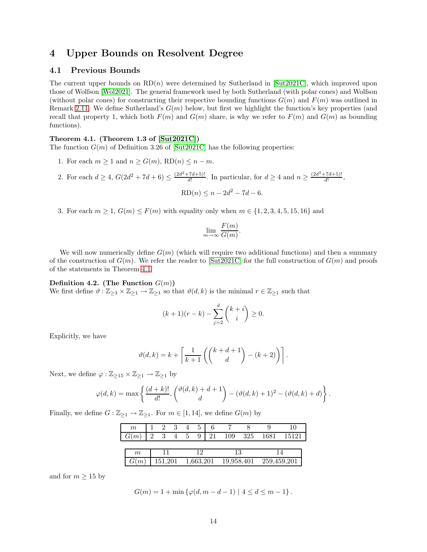## <span id="page-13-0"></span>4 Upper Bounds on Resolvent Degree

## <span id="page-13-1"></span>4.1 Previous Bounds

The current upper bounds on  $RD(n)$  were determined by Sutherland in [\[Sut2021C\]](#page-31-1), which improved upon those of Wolfson [\[Wol2021\]](#page-31-0). The general framework used by both Sutherland (with polar cones) and Wolfson (without polar cones) for constructing their respective bounding functions  $G(m)$  and  $F(m)$  was outlined in Remark [2.11.](#page-5-2) We define Sutherland's  $G(m)$  below, but first we highlight the function's key properties (and recall that property 1, which both  $F(m)$  and  $G(m)$  share, is why we refer to  $F(m)$  and  $G(m)$  as bounding functions).

## <span id="page-13-2"></span>Theorem 4.1. (Theorem 1.3 of [\[Sut2021C\]](#page-31-1))

The function  $G(m)$  of Definition 3.26 of [\[Sut2021C\]](#page-31-1) has the following properties:

- 1. For each  $m \geq 1$  and  $n \geq G(m)$ ,  $RD(n) \leq n m$ .
- 2. For each  $d \geq 4$ ,  $G(2d^2 + 7d + 6) \leq \frac{(2d^2 + 7d + 5)!}{d!}$  $\frac{(7d+5)!}{d!}$ . In particular, for  $d \geq 4$  and  $n \geq \frac{(2d^2+7d+5)!}{d!}$  $\frac{a+3}{d!},$

$$
RD(n) \le n - 2d^2 - 7d - 6.
$$

3. For each  $m \ge 1$ ,  $G(m) \le F(m)$  with equality only when  $m \in \{1, 2, 3, 4, 5, 15, 16\}$  and

$$
\lim_{m \to \infty} \frac{F(m)}{G(m)}.
$$

We will now numerically define  $G(m)$  (which will require two additional functions) and then a summary of the construction of  $G(m)$ . We refer the reader to [\[Sut2021C\]](#page-31-1) for the full construction of  $G(m)$  and proofs of the statements in Theorem [4.1.](#page-13-2)

#### Definition 4.2. (The Function  $G(m)$ )

We first define  $\vartheta$  :  $\mathbb{Z}_{\geq 3} \times \mathbb{Z}_{\geq 1} \to \mathbb{Z}_{\geq 1}$  so that  $\vartheta(d, k)$  is the minimal  $r \in \mathbb{Z}_{\geq 1}$  such that

$$
(k+1)(r-k) - \sum_{j=2}^{d} {k+i \choose i} \ge 0.
$$

Explicitly, we have

$$
\vartheta(d,k) = k + \left\lceil \frac{1}{k+1} \left( \binom{k+d+1}{d} - (k+2) \right) \right\rceil.
$$

Next, we define  $\varphi: \mathbb{Z}_{\geq 15} \times \mathbb{Z}_{\geq 1} \to \mathbb{Z}_{\geq 1}$  by

$$
\varphi(d,k) = \max \left\{ \frac{(d+k)!}{d!}, \binom{\vartheta(d,k)+d+1}{d} - (\vartheta(d,k)+1)^2 - (\vartheta(d,k)+d) \right\}.
$$

Finally, we define  $G : \mathbb{Z}_{\geq 1} \to \mathbb{Z}_{\geq 1}$ . For  $m \in [1, 14]$ , we define  $G(m)$  by

| m       |          |         | 3 |           |   |    |            |     |             | 10    |
|---------|----------|---------|---|-----------|---|----|------------|-----|-------------|-------|
| G(m)    | $\Omega$ |         |   | h,        | 9 | 21 | 109        | 325 | 1681        | 15121 |
|         |          |         |   |           |   |    |            |     |             |       |
| 19<br>m |          | 1 2     |   |           |   |    |            |     |             |       |
|         |          | 151,201 |   | 1,663,201 |   |    | 19,958,401 |     | 259,459,201 |       |

and for  $m \geq 15$  by

$$
G(m) = 1 + \min \{ \varphi(d, m - d - 1) \mid 4 \le d \le m - 1 \}.
$$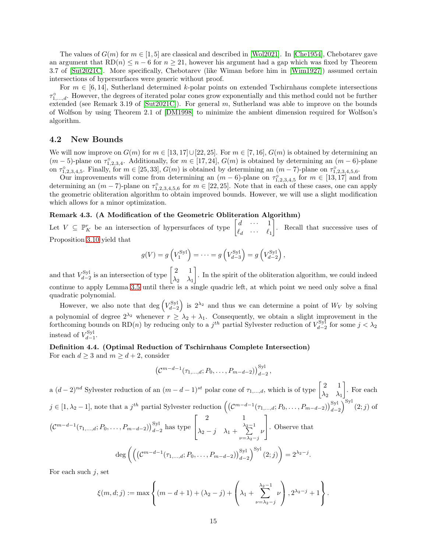The values of  $G(m)$  for  $m \in [1, 5]$  are classical and described in [\[Wol2021\]](#page-31-0). In [\[Che1954\]](#page-30-6), Chebotarev gave an argument that  $RD(n) \leq n-6$  for  $n \geq 21$ , however his argument had a gap which was fixed by Theorem 3.7 of [\[Sut2021C\]](#page-31-1). More specifically, Chebotarev (like Wiman before him in [\[Wim1927\]](#page-31-3)) assumed certain intersections of hypersurfaces were generic without proof.

For  $m \in [6, 14]$ , Sutherland determined k-polar points on extended Tschirnhaus complete intersections  $\tau_{1,\ldots,d}^{\circ}$ . However, the degrees of iterated polar cones grow exponentially and this method could not be further extended (see Remark 3.19 of  $Sut2021C$ ). For general m, Sutherland was able to improve on the bounds of Wolfson by using Theorem 2.1 of [\[DM1998\]](#page-30-5) to minimize the ambient dimension required for Wolfson's algorithm.

## <span id="page-14-0"></span>4.2 New Bounds

We will now improve on  $G(m)$  for  $m \in [13, 17] \cup [22, 25]$ . For  $m \in [7, 16]$ ,  $G(m)$  is obtained by determining an  $(m-5)$ -plane on  $\tau_{1,2,3,4}^{\circ}$ . Additionally, for  $m \in [17, 24]$ ,  $G(m)$  is obtained by determining an  $(m-6)$ -plane on  $\tau_{1,2,3,4,5}^{\circ}$ . Finally, for  $m \in [25,33]$ ,  $G(m)$  is obtained by determining an  $(m-7)$ -plane on  $\tau_{1,2,3,4,5,6}^{\circ}$ .

Our improvements will come from determining an  $(m-6)$ -plane on  $\tau_{1,2,3,4,5}^{\circ}$  for  $m \in [13,17]$  and from determining an  $(m-7)$ -plane on  $\tau_{1,2,3,4,5,6}^{\circ}$  for  $m \in [22,25]$ . Note that in each of these cases, one can apply the geometric obliteration algorithm to obtain improved bounds. However, we will use a slight modification which allows for a minor optimization.

## Remark 4.3. (A Modification of the Geometric Obliteration Algorithm)

Let  $V \subseteq \mathbb{P}^r_K$  be an intersection of hypersurfaces of type  $\begin{bmatrix} d & \cdots & 1 \\ \ell & \cdots & \ell \end{bmatrix}$  $\ell_d$   $\cdots$   $\ell_1$  . Recall that successive uses of Proposition [3.10](#page-8-1) yield that

$$
g(V) = g\left(V_1^{\text{Syl}}\right) = \dots = g\left(V_{d-3}^{\text{Syl}}\right) = g\left(V_{d-2}^{\text{Syl}}\right),
$$

and that  $V_{d-2}^{\text{Syl}}$  is an intersection of type  $\begin{bmatrix} 2 & 1 \\ \lambda_2 & \lambda_1 \end{bmatrix}$  $\lambda_2$   $\lambda_1$  . In the spirit of the obliteration algorithm, we could indeed continue to apply Lemma [3.5](#page-6-0) until there is a single quadric left, at which point we need only solve a final quadratic polynomial.

However, we also note that  $\deg\left(V_{d-2}^{\text{Syl}}\right)$  is  $2^{\lambda_2}$  and thus we can determine a point of  $W_V$  by solving a polynomial of degree  $2^{\lambda_2}$  whenever  $r \geq \lambda_2 + \lambda_1$ . Consequently, we obtain a slight improvement in the for the coming bounds on RD(n) by reducing only to a  $j<sup>th</sup>$  partial Sylvester reduction of  $V_{d-2}^{Syl}$  for some  $j < \lambda_2$ instead of  $V_{d-1}^{\text{Syl}}$ .

### <span id="page-14-1"></span>Definition 4.4. (Optimal Reduction of Tschirnhaus Complete Intersection)

For each  $d \geq 3$  and  $m \geq d+2$ , consider

$$
(C^{m-d-1}(\tau_{1,\ldots,d};P_0,\ldots,P_{m-d-2}))_{d-2}^{\mathrm{Syl}},
$$

a  $(d-2)^{nd}$  Sylvester reduction of an  $(m-d-1)^{st}$  polar cone of  $\tau_{1,...,d}$ , which is of type  $\begin{bmatrix} 2 & 1 \\ 1 & 1 \end{bmatrix}$  $\lambda_2$   $\lambda_1$  . For each  $j \in [1, \lambda_2 - 1]$ , note that a  $j^{th}$  partial Sylvester reduction  $((\mathcal{C}^{m-d-1}(\tau_{1,\ldots,d}; P_0, \ldots, P_{m-d-2}))_{d-2}^{Syl})^{Syl} (2; j)$  of  $(C^{m-d-1}(\tau_{1,...,d}; P_0, \ldots, P_{m-d-2}))_{d-2}^{Syl}$  has type  $\sqrt{ }$  $\overline{\phantom{a}}$ 2 1  $\lambda_2 - j \quad \lambda_1 + \sum_{i=1}^{\lambda_2 - 1}$  $\nu=\lambda_2-j$ ν 1 . Observe that  $\deg \bigg(\Big(\big(\mathcal{C}^{m-d-1}(\tau_{1,...,d}; P_0, \ldots, P_{m-d-2})\big)_{d-2}^{\rm Syl}\Big)^{\rm Syl}\left(2;j\right)\bigg) = 2^{\lambda_2-j}.$ 

For each such  $j$ , set

$$
\xi(m, d; j) := \max \left\{ (m - d + 1) + (\lambda_2 - j) + \left( \lambda_1 + \sum_{\nu = \lambda_2 - j}^{\lambda_2 - 1} \nu \right), 2^{\lambda_2 - j} + 1 \right\}.
$$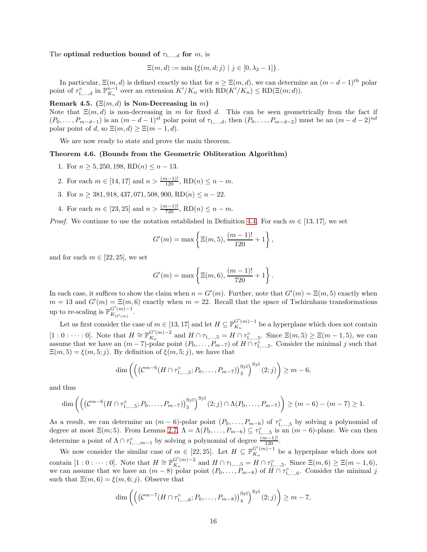#### The optimal reduction bound of  $\tau_{1,\ldots,d}$  for m, is

$$
\Xi(m, d) := \min \left\{ \xi(m, d; j) \mid j \in [0, \lambda_2 - 1] \right\}.
$$

In particular,  $\Xi(m, d)$  is defined exactly so that for  $n \geq \Xi(m, d)$ , we can determine an  $(m - d - 1)^{th}$  polar point of  $\tau_{1,\dots,d}^{\circ}$  in  $\mathbb{P}_{K_n}^{n-1}$  over an extension  $K'/K_n$  with  $RD(K'/K_n) \leq RD(\Xi(m;d)).$ 

## Remark 4.5. ( $\Xi(m, d)$  is Non-Decreasing in m)

Note that  $\Xi(m, d)$  is non-decreasing in m for fixed d. This can be seen geometrically from the fact if  $(P_0, \ldots, P_{m-d-1})$  is an  $(m-d-1)^{st}$  polar point of  $\tau_{1,\ldots,d}$ , then  $(P_0, \ldots, P_{m-d-2})$  must be an  $(m-d-2)^{nd}$ polar point of d, so  $\Xi(m, d) \geq \Xi(m-1, d)$ .

We are now ready to state and prove the main theorem.

#### <span id="page-15-0"></span>Theorem 4.6. (Bounds from the Geometric Obliteration Algorithm)

- 1. For  $n \geq 5,250,198, \text{RD}(n) \leq n-13$ .
- 2. For each  $m \in [14, 17]$  and  $n > \frac{(m-1)!}{120}$ ,  $RD(n) \leq n m$ .
- 3. For  $n \geq 381, 918, 437, 071, 508, 900, RD(n) \leq n 22$ .
- 4. For each  $m \in [23, 25]$  and  $n > \frac{(m-1)!}{720}$ ,  $RD(n) \leq n m$ .

*Proof.* We continue to use the notation established in Definition [4.4.](#page-14-1) For each  $m \in [13, 17]$ , we set

$$
G'(m) = \max \left\{ \Xi(m, 5), \frac{(m-1)!}{120} + 1 \right\},\,
$$

and for each  $m \in [22, 25]$ , we set

$$
G'(m) = \max \left\{ \Xi(m, 6), \frac{(m-1)!}{720} + 1 \right\}.
$$

In each case, it suffices to show the claim when  $n = G'(m)$ . Further, note that  $G'(m) = \Xi(m, 5)$  exactly when  $m = 13$  and  $G'(m) = \Xi(m, 6)$  exactly when  $m = 22$ . Recall that the space of Tschirnhaus transformations up to re-scaling is  $\mathbb{P}_{K_{\text{GU-1}}}^{G'(m)-1}$  $K_{G'(m)}$ .

Let us first consider the case of  $m \in [13, 17]$  and let  $H \subseteq \mathbb{P}_{K_n}^{G'(m)-1}$  $K_n^{(m)-1}$  be a hyperplane which does not contain  $[1:0:\cdots:0].$  Note that  $H \cong \mathbb{P}_{K_n}^{G'(m)-2}$  $K_n^{G'(m)-2}$  and  $H \cap \tau_{1,...,5} = H \cap \tau_{1,...,5}^{\circ}$ . Since  $\Xi(m,5) \geq \Xi(m-1,5)$ , we can assume that we have an  $(m-7)$ -polar point  $(P_0, \ldots, P_{m-7})$  of  $H \cap \tau_{1,\ldots,5}^{\circ}$ . Consider the minimal j such that  $\Xi(m,5) = \xi(m,5;j)$ . By definition of  $\xi(m,5;j)$ , we have that

$$
\dim\left(\left(\left(\mathcal{C}^{m-6}(H\cap \tau^{\circ}_{1,\ldots,5}; P_0,\ldots, P_{m-7})\right)^{\mathrm{Syl}}_3\right)^{\mathrm{Syl}}(2; j)\right) \geq m-6,
$$

and thus

$$
\dim\left(\left(\left(\mathcal{C}^{m-6}(H\cap \tau_{1,\ldots,5}^{\circ}; P_0,\ldots, P_{m-7})\right)_3^{Syl}\right)^{Syl}(2;j)\cap \Lambda(P_0,\ldots, P_{m-7})\right)\geq (m-6)-(m-7)\geq 1.
$$

As a result, we can determine an  $(m-6)$ -polar point  $(P_0, \ldots, P_{m-6})$  of  $\tau_{1,\ldots,5}^{\circ}$  by solving a polynomial of degree at most  $\Xi(m;5)$ . From Lemma [2.7,](#page-4-2)  $\Lambda = \Lambda(P_0, \ldots, P_{m-6}) \subseteq \tau_{1,\ldots,5}^{\circ}$  is an  $(m-6)$ -plane. We can then determine a point of  $\Lambda \cap \tau^{\circ}_{1,\dots,m-1}$  by solving a polynomial of degree  $\frac{(m-1)!}{120}$ .

We now consider the similar case of  $m \in [22, 25]$ . Let  $H \subseteq \mathbb{P}_{K_{n}}^{G'(m)-1}$  $K_n^{(m)-1}$  be a hyperplane which does not contain [1 : 0 : · · · : 0]. Note that  $H \cong \mathbb{P}_{K_n}^{G'(m)-2}$  $K_n^{G'(m)-2}$  and  $H \cap \tau_{1,\dots,5} = H \cap \tau_{1,\dots,5}^{\circ}$ . Since  $\Xi(m,6) \geq \Xi(m-1,6)$ , we can assume that we have an  $(m-8)$  point  $(P_0,\ldots,P_{m-8})$  of  $H \cap \tau_{1,\ldots,6}^{\circ}$ . Consider the minimal j such that  $\Xi(m, 6) = \xi(m, 6; j)$ . Observe that

$$
\dim\left(\left(\left(\mathcal{C}^{m-7}(H\cap \tau^{\circ}_{1,\ldots,6}; P_0,\ldots, P_{m-8})\right)_4^{\mathrm{Syl}}\right)^{\mathrm{Syl}}(2;j)\right)\geq m-7,
$$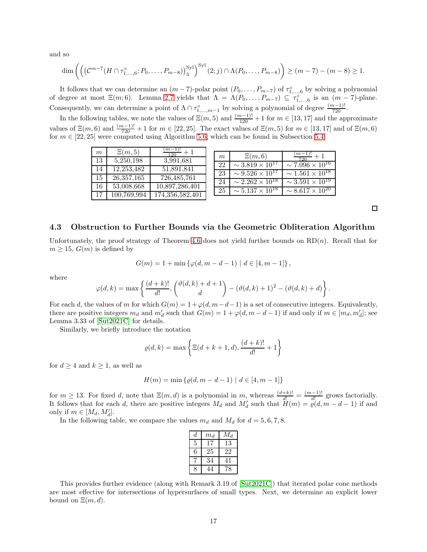and so

$$
\dim\left(\left(\left(\mathcal{C}^{m-7}(H\cap \tau^{\circ}_{1,\ldots,6}; P_0,\ldots, P_{m-8})\right)^{\mathrm{Syl}}_3\right)^{\mathrm{Syl}}(2; j)\cap \Lambda(P_0,\ldots, P_{m-8})\right) \geq (m-7)-(m-8) \geq 1.
$$

It follows that we can determine an  $(m-7)$ -polar point  $(P_0, \ldots, P_{m-7})$  of  $\tau_{1,\ldots,6}^{\circ}$  by solving a polynomial of degree at most  $\Xi(m, 6)$ . Lemma [2.7](#page-4-2) yields that  $\Lambda = \Lambda(P_0, \ldots, P_{m-7}) \subseteq \tau_{1,\ldots,6}^{\circ}$  is an  $(m-7)$ -plane. Consequently, we can determine a point of  $\Lambda \cap \tau^{\circ}_{1,\dots,m-1}$  by solving a polynomial of degree  $\frac{(m-1)!}{720}$ .

In the following tables, we note the values of  $\Xi(m,5)$  and  $\frac{(m-1)!}{120}+1$  for  $m \in [13,17]$  and the approximate values of  $\Xi(m, 6)$  and  $\frac{(m-1)!}{720}+1$  for  $m \in [22, 25]$ . The exact values of  $\Xi(m, 5)$  for  $m \in [13, 17]$  and of  $\Xi(m, 6)$ for  $m \in [22, 25]$  were computed using Algorithm [5.6,](#page-27-1) which can be found in Subsection [5.4.](#page-27-0)

|                  |             | $\frac{m-1}{i}$ . |                  |                                        |                             |
|------------------|-------------|-------------------|------------------|----------------------------------------|-----------------------------|
| $\boldsymbol{m}$ | $\Xi(m,5)$  | 120               | $\boldsymbol{m}$ | $\Xi(m,6)$                             | $(m-1)!$                    |
| 13               | 5,250,198   | 3,991,681         |                  |                                        | 720                         |
|                  |             |                   | 22               | $\overline{\sim 3.819 \times 10^{17}}$ | $\sim 7.096 \times 10^{16}$ |
| 14               | 12,253,482  | 51,891,841        |                  |                                        |                             |
| 15               | 26,357,165  | 726,485,761       | 23               | $\sim 9.526 \times 10^{17}$            | $\sim 1.561 \times 10^{18}$ |
|                  |             |                   | 24               | $\sim 2.262 \times 10^{18}$            | $\sim 3.591 \times 10^{19}$ |
| 16               | 53,008,668  | 10,897,286,401    |                  |                                        |                             |
|                  |             |                   | 25               | $\sim 5.137 \times 10^{18}$            | $\sim 8.617 \times 10^{20}$ |
| 17               | 100,769,994 | 174,356,582,401   |                  |                                        |                             |
|                  |             |                   |                  |                                        |                             |

 $\Box$ 

## <span id="page-16-0"></span>4.3 Obstruction to Further Bounds via the Geometric Obliteration Algorithm

Unfortunately, the proof strategy of Theorem [4.6](#page-15-0) does not yield further bounds on  $RD(n)$ . Recall that for  $m \geq 15$ ,  $G(m)$  is defined by

$$
G(m) = 1 + \min \{ \varphi(d, m - d - 1) \mid d \in [4, m - 1] \},
$$

where

$$
\varphi(d,k)=\max\left\{\frac{(d+k)!}{d!},\binom{\vartheta(d,k)+d+1}{d}-(\vartheta(d,k)+1)^2-(\vartheta(d,k)+d)\right\}.
$$

For each d, the values of m for which  $G(m) = 1 + \varphi(d, m-d-1)$  is a set of consecutive integers. Equivalently, there are positive integers  $m_d$  and  $m'_d$  such that  $G(m) = 1 + \varphi(d, m - d - 1)$  if and only if  $m \in [m_d, m'_d]$ ; see Lemma 3.33 of [\[Sut2021C\]](#page-31-1) for details.

Similarly, we briefly introduce the notation

$$
\varrho(d,k) = \max \left\{ \Xi(d+k+1,d), \frac{(d+k)!}{d!} + 1 \right\}
$$

for  $d \geq 4$  and  $k \geq 1$ , as well as

$$
H(m) = \min \{ \varrho(d, m - d - 1) \mid d \in [4, m - 1] \}
$$

for  $m \geq 13$ . For fixed d, note that  $\Xi(m, d)$  is a polynomial in m, whereas  $\frac{(d+k)!}{d!} = \frac{(m-1)!}{d!}$  $\frac{(-1)!}{d!}$  grows factorially. It follows that for each d, there are positive integers  $M_d$  and  $M'_d$  such that  $\tilde{H}(m) = \tilde{\varrho}(d, m - d - 1)$  if and only if  $m \in [M_d, M'_d]$ .

In the following table, we compare the values  $m_d$  and  $M_d$  for  $d = 5, 6, 7, 8$ .

| d.          | $m_d$ | $M_d$ |
|-------------|-------|-------|
| 5           | 17    | 13    |
| 6           | 25    | 22    |
|             | 34    | 41    |
| $\mathbf Q$ | 44    | 78    |

This provides further evidence (along with Remark 3.19 of [\[Sut2021C\]](#page-31-1)) that iterated polar cone methods are most effective for intersections of hypersurfaces of small types. Next, we determine an explicit lower bound on  $\Xi(m, d)$ .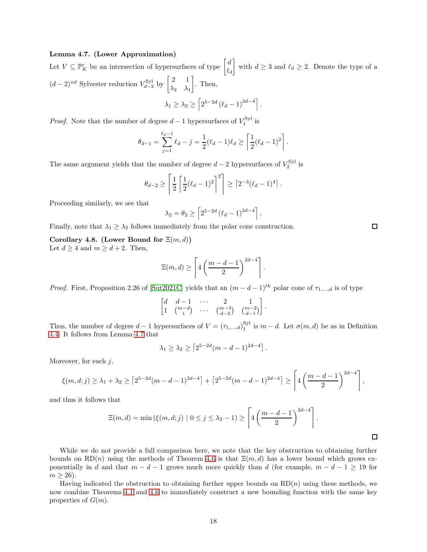#### <span id="page-17-0"></span>Lemma 4.7. (Lower Approximation)

Let  $V \subseteq \mathbb{P}_{K}^{r}$  be an intersection of hypersurfaces of type  $\begin{bmatrix} d \\ \rho \end{bmatrix}$  $\ell_d$ with  $d \geq 3$  and  $\ell_d \geq 2$ . Denote the type of a  $(d-2)^{nd}$  Sylvester reduction  $V_{d-2}^{\text{Syl}}$  by  $\begin{bmatrix} 2 & 1 \\ \lambda_2 & \lambda_1 \end{bmatrix}$  $\lambda_2$   $\lambda_1$  $\big]$ . Then,

$$
\lambda_1 \geq \lambda_2 \geq \left[2^{5-2d} \left(\ell_d - 1\right)^{2d-4}\right].
$$

*Proof.* Note that the number of degree  $d-1$  hypersurfaces of  $V_1^{\text{Syl}}$  is

$$
\theta_{d-1} = \sum_{j=1}^{\ell_d - 1} \ell_d - j = \frac{1}{2} (\ell_d - 1) \ell_d \ge \left\lceil \frac{1}{2} (\ell_d - 1)^2 \right\rceil.
$$

The same argument yields that the number of degree  $d-2$  hypersurfaces of  $V_2^{\text{Syl}}$  is

$$
\theta_{d-2} \ge \left[ \frac{1}{2} \left[ \frac{1}{2} (\ell_d - 1)^2 \right]^2 \right] \ge \left[ 2^{-3} (\ell_d - 1)^4 \right].
$$

Proceeding similarly, we see that

$$
\lambda_2 = \theta_2 \ge \left[ 2^{5-2d} (\ell_d - 1)^{2d-4} \right].
$$

Finally, note that  $\lambda_1 \geq \lambda_2$  follows immediately from the polar cone construction.

Corollary 4.8. (Lower Bound for  $\Xi(m, d)$ ) Let  $d \geq 4$  and  $m \geq d+2$ . Then,

$$
\Xi(m,d) \ge \left\lceil 4\left(\frac{m-d-1}{2}\right)^{2d-4} \right\rceil.
$$

*Proof.* First, Proposition 2.26 of [\[Sut2021C\]](#page-31-1) yields that an  $(m - d - 1)^{th}$  polar cone of  $\tau_{1,...,d}$  is of type

$$
\begin{bmatrix} d & d-1 & \cdots & 2 & 1 \\ 1 & \binom{m-d}{1} & \cdots & \binom{m-3}{d-2} & \binom{m-2}{d-1} \end{bmatrix}.
$$

Thus, the number of degree  $d-1$  hypersurfaces of  $V = (\tau_{1,...,d})_1^{\text{Syl}}$  $i_1^{\text{Syl}}$  is  $m-d$ . Let  $\sigma(m,d)$  be as in Definition [4.4.](#page-14-1) It follows from Lemma [4.7](#page-17-0) that

$$
\lambda_1 \geq \lambda_2 \geq \left[2^{5-2d}(m-d-1)^{2d-4}\right].
$$

Moreover, for each  $j$ ,

$$
\xi(m,d;j) \geq \lambda_1 + \lambda_2 \geq \left[2^{5-2d}(m-d-1)^{2d-4}\right] + \left[2^{5-2d}(m-d-1)^{2d-4}\right] \geq \left[4\left(\frac{m-d-1}{2}\right)^{2d-4}\right],
$$

and thus it follows that

$$
\Xi(m,d) = \min\left(\xi(m,d;j) \mid 0 \leq j \leq \lambda_2 - 1\right) \geq \left\lceil 4\left(\frac{m-d-1}{2}\right)^{2d-4}\right\rceil.
$$

While we do not provide a full comparison here, we note that the key obstruction to obtaining further bounds on RD(n) using the methods of Theorem [4.6](#page-15-0) is that  $\Xi(m, d)$  has a lower bound which grows exponentially in d and that  $m - d - 1$  grows much more quickly than d (for example,  $m - d - 1 \ge 19$  for  $m \geq 26$ .

Having indicated the obstruction to obtaining further upper bounds on  $RD(n)$  using these methods, we now combine Theorems [4.1](#page-13-2) and [4.6](#page-15-0) to immediately construct a new bounding function with the same key properties of  $G(m)$ .

 $\Box$ 

 $\Box$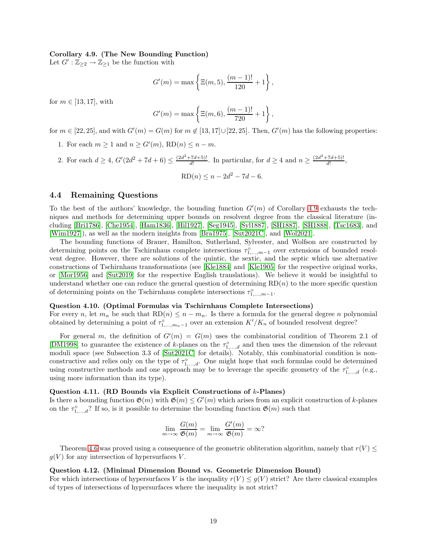## <span id="page-18-1"></span>Corollary 4.9. (The New Bounding Function)

Let  $G' : \mathbb{Z}_{\geq 2} \to \mathbb{Z}_{\geq 1}$  be the function with

$$
G'(m) = \max \left\{ \Xi(m, 5), \frac{(m-1)!}{120} + 1 \right\},\,
$$

for  $m \in [13, 17]$ , with

$$
G'(m) = \max \left\{ \Xi(m, 6), \frac{(m-1)!}{720} + 1 \right\},\,
$$

for  $m \in [22, 25]$ , and with  $G'(m) = G(m)$  for  $m \notin [13, 17] \cup [22, 25]$ . Then,  $G'(m)$  has the following properties:

- 1. For each  $m \ge 1$  and  $n \ge G'(m)$ ,  $RD(n) \le n m$ .
- 2. For each  $d \geq 4$ ,  $G'(2d^2 + 7d + 6) \leq \frac{(2d^2 + 7d + 5)!}{d!}$  $\frac{(7d+5)!}{d!}$ . In particular, for  $d \geq 4$  and  $n \geq \frac{(2d^2+7d+5)!}{d!}$  $\frac{a+3}{d!},$  $RD(n) \leq n - 2d^2 - 7d - 6.$

## <span id="page-18-0"></span>4.4 Remaining Questions

To the best of the authors' knowledge, the bounding function  $G'(m)$  of Corollary [4.9](#page-18-1) exhausts the techniques and methods for determining upper bounds on resolvent degree from the classical literature (including [\[Bri1786\]](#page-30-12), [\[Che1954\]](#page-30-6), [\[Ham1836\]](#page-30-13), [\[Hil1927\]](#page-30-14), [\[Seg1945\]](#page-30-7), [\[Syl1887\]](#page-31-2), [\[SH1887\]](#page-31-4), [\[SH1888\]](#page-31-5), [\[Tsc1683\]](#page-31-6), and [\[Wim1927\]](#page-31-3)), as well as the modern insights from [\[Bra1975\]](#page-30-0), [\[Sut2021C\]](#page-31-1), and [\[Wol2021\]](#page-31-0).

The bounding functions of Brauer, Hamilton, Sutherland, Sylvester, and Wolfson are constructed by determining points on the Tschirnhaus complete intersections  $\tau_{1,\dots,m-1}^{\circ}$  over extensions of bounded resolvent degree. However, there are solutions of the quintic, the sextic, and the septic which use alternative constructions of Tschirnhaus transformations (see [\[Kle1884\]](#page-30-15) and [\[Kle1905\]](#page-30-16) for the respective original works, or [\[Mor1956\]](#page-30-17) and [\[Sut2019\]](#page-31-7) for the respective English translations). We believe it would be insightful to understand whether one can reduce the general question of determining  $RD(n)$  to the more specific question of determining points on the Tschirnhaus complete intersections  $\tau_{1,\dots,m-1}^{\circ}$ .

## Question 4.10. (Optimal Formulas via Tschirnhaus Complete Intersections)

For every n, let  $m_n$  be such that  $RD(n) \leq n - m_n$ . Is there a formula for the general degree n polynomial obtained by determining a point of  $\tau_{1,\dots,m_n-1}^{\circ}$  over an extension  $K'/K_n$  of bounded resolvent degree?

For general m, the definition of  $G'(m) = G(m)$  uses the combinatorial condition of Theorem 2.1 of [\[DM1998\]](#page-30-5) to guarantee the existence of k-planes on the  $\tau_{1,\dots,d}^{\circ}$  and then uses the dimension of the relevant moduli space (see Subsection 3.3 of [\[Sut2021C\]](#page-31-1) for details). Notably, this combinatorial condition is nonconstructive and relies only on the type of  $\tau_{1,\dots,d}^{\circ}$ . One might hope that such formulas could be determined using constructive methods and one approach may be to leverage the specific geometry of the  $\tau_{1,\dots,d}^{\circ}$  (e.g., using more information than its type).

#### Question 4.11. (RD Bounds via Explicit Constructions of k-Planes)

Is there a bounding function  $\mathfrak{G}(m)$  with  $\mathfrak{G}(m) \leq G'(m)$  which arises from an explicit construction of k-planes on the  $\tau_{1,\dots,d}^{\circ}$ ? If so, is it possible to determine the bounding function  $\mathfrak{G}(m)$  such that

$$
\lim_{m \to \infty} \frac{G(m)}{\mathfrak{G}(m)} = \lim_{m \to \infty} \frac{G'(m)}{\mathfrak{G}(m)} = \infty?
$$

Theorem [4.6](#page-15-0) was proved using a consequence of the geometric obliteration algorithm, namely that  $r(V) \leq$  $g(V)$  for any intersection of hypersurfaces V.

## Question 4.12. (Minimal Dimension Bound vs. Geometric Dimension Bound)

For which intersections of hypersurfaces V is the inequality  $r(V) \leq g(V)$  strict? Are there classical examples of types of intersections of hypersurfaces where the inequality is not strict?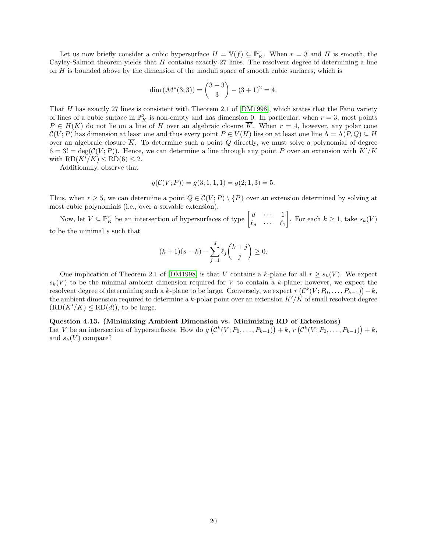Let us now briefly consider a cubic hypersurface  $H = \mathbb{V}(f) \subseteq \mathbb{P}_{K}^{r}$ . When  $r = 3$  and H is smooth, the Cayley-Salmon theorem yields that  $H$  contains exactly 27 lines. The resolvent degree of determining a line on  $H$  is bounded above by the dimension of the moduli space of smooth cubic surfaces, which is

$$
\dim (\mathcal{M}^{\circ}(3;3)) = \binom{3+3}{3} - (3+1)^2 = 4.
$$

That H has exactly 27 lines is consistent with Theorem 2.1 of [\[DM1998\]](#page-30-5), which states that the Fano variety of lines of a cubic surface in  $\mathbb{P}_{K}^{3}$  is non-empty and has dimension 0. In particular, when  $r=3$ , most points  $P \in H(K)$  do not lie on a line of H over an algebraic closure K. When  $r = 4$ , however, any polar cone  $\mathcal{C}(V;P)$  has dimension at least one and thus every point  $P \in V(H)$  lies on at least one line  $\Lambda = \Lambda(P,Q) \subseteq H$ over an algebraic closure  $\overline{K}$ . To determine such a point Q directly, we must solve a polynomial of degree  $6 = 3! = \deg(\mathcal{C}(V;P)).$  Hence, we can determine a line through any point P over an extension with  $K'/K$ with  $RD(K'/K) \leq RD(6) \leq 2$ .

Additionally, observe that

$$
g(C(V; P)) = g(3; 1, 1, 1) = g(2; 1, 3) = 5.
$$

Thus, when  $r \geq 5$ , we can determine a point  $Q \in \mathcal{C}(V;P) \setminus \{P\}$  over an extension determined by solving at most cubic polynomials (i.e., over a solvable extension).

Now, let  $V \subseteq \mathbb{P}_{K}^{r}$  be an intersection of hypersurfaces of type  $\begin{bmatrix} d & \cdots & 1 \\ \ell_{1} & \cdots & \ell_{r} \end{bmatrix}$  $\ell_d$   $\cdots$   $\ell_1$ . For each  $k \geq 1$ , take  $s_k(V)$ to be the minimal  $\boldsymbol{s}$  such that

$$
(k+1)(s-k) - \sum_{j=1}^{d} \ell_j {k+j \choose j} \ge 0.
$$

One implication of Theorem 2.1 of [\[DM1998\]](#page-30-5) is that V contains a k-plane for all  $r \geq s_k(V)$ . We expect  $s_k(V)$  to be the minimal ambient dimension required for V to contain a k-plane; however, we expect the resolvent degree of determining such a k-plane to be large. Conversely, we expect  $r\left(\mathcal{C}^k(V;P_0,\ldots,P_{k-1})\right)+k,$ the ambient dimension required to determine a k-polar point over an extension  $K'/K$  of small resolvent degree  $(RD(K'/K) \leq RD(d))$ , to be large.

### Question 4.13. (Minimizing Ambient Dimension vs. Minimizing RD of Extensions)

Let V be an intersection of hypersurfaces. How do  $g\left(\mathcal{C}^k(V;P_0,\ldots,P_{k-1})\right) + k, r\left(\mathcal{C}^k(V;P_0,\ldots,P_{k-1})\right) + k$ , and  $s_k(V)$  compare?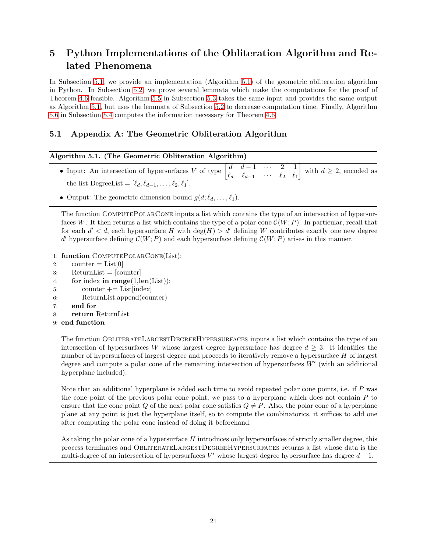# <span id="page-20-0"></span>5 Python Implementations of the Obliteration Algorithm and Related Phenomena

In Subsection [5.1,](#page-20-1) we provide an implementation (Algorithm [5.1\)](#page-20-2) of the geometric obliteration algorithm in Python. In Subsection [5.2,](#page-22-0) we prove several lemmata which make the computations for the proof of Theorem [4.6](#page-15-0) feasible. Algorithm [5.5](#page-25-1) in Subsection [5.3](#page-25-0) takes the same input and provides the same output as Algorithm [5.1,](#page-20-2) but uses the lemmata of Subsection [5.2](#page-22-0) to decrease computation time. Finally, Algorithm [5.6](#page-27-1) in Subsection [5.4](#page-27-0) computes the information necessary for Theorem [4.6.](#page-15-0)

## <span id="page-20-1"></span>5.1 Appendix A: The Geometric Obliteration Algorithm

## <span id="page-20-2"></span>Algorithm 5.1. (The Geometric Obliteration Algorithm)

- Input: An intersection of hypersurfaces V of type  $\begin{bmatrix} d & d-1 & \cdots & 2 & 1 \\ a & a & 0 & 0 \\ 0 & 0 & 0 & 0 \\ 0 & 0 & 0 & 0 \\ 0 & 0 & 0 & 0 \\ 0 & 0 & 0 & 0 \\ 0 & 0 & 0 & 0 \\ 0 & 0 & 0 & 0 \\ 0 & 0 & 0 & 0 \\ 0 & 0 & 0 & 0 \\ 0 & 0 & 0 & 0 \\ 0 & 0 & 0 & 0 \\ 0 & 0 & 0 & 0 \\ 0 &$  $\ell_d$   $\ell_{d-1}$   $\cdots$   $\ell_2$   $\ell_1$ with  $d \geq 2$ , encoded as the list DegreeList =  $[\ell_d, \ell_{d-1}, \ldots, \ell_2, \ell_1]$ .
- Output: The geometric dimension bound  $g(d; \ell_d, \ldots, \ell_1)$ .

The function ComputePolarCone inputs a list which contains the type of an intersection of hypersurfaces W. It then returns a list which contains the type of a polar cone  $\mathcal{C}(W;P)$ . In particular, recall that for each  $d' < d$ , each hypersurface H with  $deg(H) > d'$  defining W contributes exactly one new degree d' hypersurface defining  $\mathcal{C}(W;P)$  and each hypersurface defining  $\mathcal{C}(W;P)$  arises in this manner.

- 1: function ComputePolarCone(List):
- 2: counter  $=$  List[0]
- 3: ReturnList = [counter]
- 4: for index in range(1,len(List)):
- $5:$  counter  $+=$  List [index]
- 6: ReturnList.append(counter)
- 7: end for
- 8: return ReturnList
- 9: end function

The function ObliterateLargestDegreeHypersurfaces inputs a list which contains the type of an intersection of hypersurfaces W whose largest degree hypersurface has degree  $d > 3$ . It identifies the number of hypersurfaces of largest degree and proceeds to iteratively remove a hypersurface  $H$  of largest degree and compute a polar cone of the remaining intersection of hypersurfaces  $W'$  (with an additional hyperplane included).

Note that an additional hyperplane is added each time to avoid repeated polar cone points, i.e. if P was the cone point of the previous polar cone point, we pass to a hyperplane which does not contain  $P$  to ensure that the cone point Q of the next polar cone satisfies  $Q \neq P$ . Also, the polar cone of a hyperplane plane at any point is just the hyperplane itself, so to compute the combinatorics, it suffices to add one after computing the polar cone instead of doing it beforehand.

As taking the polar cone of a hypersurface H introduces only hypersurfaces of strictly smaller degree, this process terminates and ObliterateLargestDegreeHypersurfaces returns a list whose data is the multi-degree of an intersection of hypersurfaces  $V'$  whose largest degree hypersurface has degree  $d-1$ .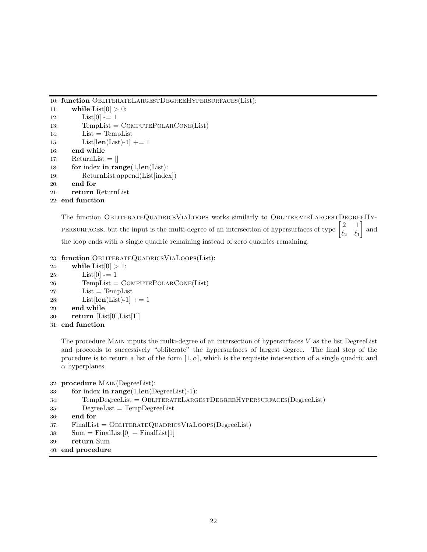```
10: function ObliterateLargestDegreeHypersurfaces(List):
```

```
11: while List[0] > 0:
12: List[0] = 113: TempList = COMPUTEPOLARCONE(List)
14: List = TempList
15: List[\text{len}(\text{List})-1] += 116: end while
17: ReturnList = []
18: for index in range(1, len(List)):
19: ReturnList.append(List[index])
20: end for
21: return ReturnList
```

```
22: end function
```
The function OBLITERATEQUADRICSVIALOOPS works similarly to OBLITERATELARGESTDEGREEHY-PERSURFACES, but the input is the multi-degree of an intersection of hypersurfaces of type  $\begin{bmatrix} 2 & 1 \\ 0 & 0 \end{bmatrix}$  $\ell_2$   $\ell_1$ | and the loop ends with a single quadric remaining instead of zero quadrics remaining.

```
23: function ObliterateQuadricsViaLoops(List):
```

```
24: while List[0] > 1:
25: List[0] = 126: TempList = COMPUTEPOLARONE(List)27: List = TempList28: List[\text{len}(\text{List})-1] += 129: end while
30: return [List[0],List[1]]
```

```
31: end function
```
The procedure MAIN inputs the multi-degree of an intersection of hypersurfaces  $V$  as the list DegreeList and proceeds to successively "obliterate" the hypersurfaces of largest degree. The final step of the procedure is to return a list of the form  $[1, \alpha]$ , which is the requisite intersection of a single quadric and  $\alpha$  hyperplanes.

```
32: procedure Main(DegreeList):
```

```
33: for index in range(1,len(DegreeList)-1):
```

```
34: TempDegreeList = ObliterateLargestDegreeHypersurfaces(DegreeList)
```

```
35: DegreeList = TempDegreeList
```
- 36: end for
- 37: FinalList = OBLITERATEQUADRICSVIALOOPS(DegreeList)
- 38:  $\text{Sum} = \text{FinalList}[0] + \text{FinalList}[1]$
- 39: return Sum

```
40: end procedure
```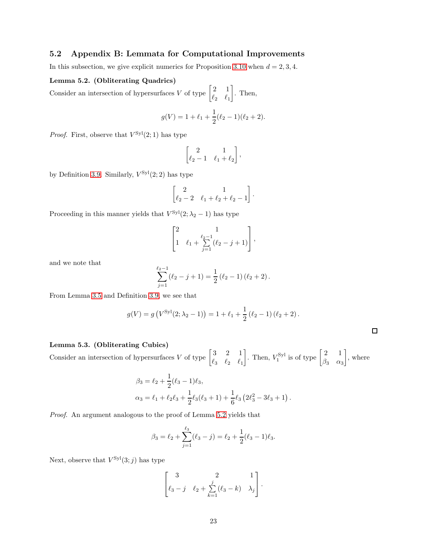## <span id="page-22-0"></span>5.2 Appendix B: Lemmata for Computational Improvements

In this subsection, we give explicit numerics for Proposition [3.10](#page-8-1) when  $d = 2, 3, 4$ .

#### <span id="page-22-1"></span>Lemma 5.2. (Obliterating Quadrics)

Consider an intersection of hypersurfaces V of type  $\begin{bmatrix} 2 & 1 \\ 0 & 0 \end{bmatrix}$  $\ell_2$   $\ell_1$ . Then,

$$
g(V) = 1 + \ell_1 + \frac{1}{2}(\ell_2 - 1)(\ell_2 + 2).
$$

*Proof.* First, observe that  $V^{Syl}(2, 1)$  has type

$$
\begin{bmatrix} 2 & 1 \ \ell_2 - 1 & \ell_1 + \ell_2 \end{bmatrix},
$$

by Definition [3.9.](#page-8-2) Similarly,  $V^{\text{Syl}}(2,2)$  has type

$$
\begin{bmatrix} 2 & 1 \ \ell_2 - 2 & \ell_1 + \ell_2 + \ell_2 - 1 \end{bmatrix}.
$$

Proceeding in this manner yields that  $V^{\mathrm{Syl}}(2; \lambda_2 - 1)$  has type

$$
\begin{bmatrix} 2 & 1 \ 1 & \ell_1 + \sum_{j=1}^{\ell_2 - 1} (\ell_2 - j + 1) \end{bmatrix},
$$

and we note that

$$
\sum_{j=1}^{\ell_2-1} (\ell_2-j+1) = \frac{1}{2} (\ell_2-1) (\ell_2+2).
$$

From Lemma [3.5](#page-6-0) and Definition [3.9,](#page-8-2) we see that

$$
g(V) = g(V^{\text{Syl}}(2; \lambda_2 - 1)) = 1 + \ell_1 + \frac{1}{2} (\ell_2 - 1) (\ell_2 + 2).
$$

<span id="page-22-2"></span>

|  | Lemma 5.3. (Obliterating Cubics) |  |  |
|--|----------------------------------|--|--|
|--|----------------------------------|--|--|

Consider an intersection of hypersurfaces V of type  $\begin{bmatrix} 3 & 2 & 1 \\ 0 & 0 & 0 \end{bmatrix}$  $\ell_3$   $\ell_2$   $\ell_1$ . Then,  $V_1^{\text{Syl}}$  is of type  $\begin{bmatrix} 2 & 1 \\ \beta_2 & \alpha_1 \end{bmatrix}$  $\beta_3$   $\alpha_3$  $\Big]$ , where

$$
\beta_3 = \ell_2 + \frac{1}{2}(\ell_3 - 1)\ell_3,
$$
  
\n
$$
\alpha_3 = \ell_1 + \ell_2\ell_3 + \frac{1}{2}\ell_3(\ell_3 + 1) + \frac{1}{6}\ell_3(2\ell_3^2 - 3\ell_3 + 1).
$$

*Proof.* An argument analogous to the proof of Lemma [5.2](#page-22-1) yields that

$$
\beta_3 = \ell_2 + \sum_{j=1}^{\ell_3} (\ell_3 - j) = \ell_2 + \frac{1}{2}(\ell_3 - 1)\ell_3.
$$

Next, observe that  $V^{\text{Syl}}(3;j)$  has type

$$
\begin{bmatrix} 3 & 2 & 1 \ \ell_3 - j & \ell_2 + \sum_{k=1}^j (\ell_3 - k) & \lambda_j \end{bmatrix}.
$$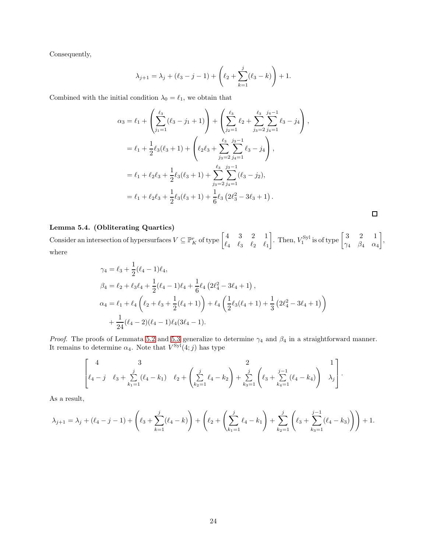Consequently,

$$
\lambda_{j+1} = \lambda_j + (\ell_3 - j - 1) + \left(\ell_2 + \sum_{k=1}^j (\ell_3 - k)\right) + 1.
$$

Combined with the initial condition  $\lambda_0 = \ell_1$ , we obtain that

$$
\alpha_3 = \ell_1 + \left(\sum_{j_1=1}^{\ell_3} (\ell_3 - j_1 + 1)\right) + \left(\sum_{j_2=1}^{\ell_3} \ell_2 + \sum_{j_3=2}^{\ell_3} \sum_{j_4=1}^{j_4-1} \ell_3 - j_4\right),
$$
  
\n
$$
= \ell_1 + \frac{1}{2} \ell_3 (\ell_3 + 1) + \left(\ell_2 \ell_3 + \sum_{j_3=2}^{\ell_3} \sum_{j_4=1}^{j_3-1} \ell_3 - j_4\right),
$$
  
\n
$$
= \ell_1 + \ell_2 \ell_3 + \frac{1}{2} \ell_3 (\ell_3 + 1) + \sum_{j_3=2}^{\ell_3} \sum_{j_4=1}^{j_3-1} (\ell_3 - j_2),
$$
  
\n
$$
= \ell_1 + \ell_2 \ell_3 + \frac{1}{2} \ell_3 (\ell_3 + 1) + \frac{1}{6} \ell_3 (2 \ell_3^2 - 3 \ell_3 + 1).
$$

## <span id="page-23-0"></span>Lemma 5.4. (Obliterating Quartics)

Consider an intersection of hypersurfaces  $V \subseteq \mathbb{P}_{K}^{r}$  of type  $\begin{bmatrix} 4 & 3 & 2 & 1 \\ \ell_4 & \ell_2 & \ell_3 & \ell_4 \end{bmatrix}$  $\ell_4$   $\ell_3$   $\ell_2$   $\ell_1$ . Then,  $V_1^{\text{Syl}}$  is of type  $\begin{bmatrix} 3 & 2 & 1 \\ \gamma_4 & \beta_4 & \alpha \end{bmatrix}$  $\gamma_4$   $\beta_4$   $\alpha_4$  , where

$$
\gamma_4 = \ell_3 + \frac{1}{2}(\ell_4 - 1)\ell_4,
$$
  
\n
$$
\beta_4 = \ell_2 + \ell_3\ell_4 + \frac{1}{2}(\ell_4 - 1)\ell_4 + \frac{1}{6}\ell_4(2\ell_4^2 - 3\ell_4 + 1),
$$
  
\n
$$
\alpha_4 = \ell_1 + \ell_4(\ell_2 + \ell_3 + \frac{1}{2}(\ell_4 + 1)) + \ell_4(\frac{1}{2}\ell_3(\ell_4 + 1) + \frac{1}{3}(2\ell_4^2 - 3\ell_4 + 1)) + \frac{1}{24}(\ell_4 - 2)(\ell_4 - 1)\ell_4(3\ell_4 - 1).
$$

*Proof.* The proofs of Lemmata [5.2](#page-22-1) and [5.3](#page-22-2) generalize to determine  $\gamma_4$  and  $\beta_4$  in a straightforward manner. It remains to determine  $\alpha_4$ . Note that  $V^{Syl}(4;j)$  has type

$$
\left[\begin{matrix}4 & 3\\ \ell_4 - j & \ell_3 + \sum_{k_1=1}^j(\ell_4 - k_1) & \ell_2 + \left(\sum_{k_2=1}^j\ell_4 - k_2\right) + \sum_{k_3=1}^j\left(\ell_3 + \sum_{k_4=1}^{j-1}(\ell_4 - k_4)\right) & \lambda_j\end{matrix}\right].
$$

As a result,

$$
\lambda_{j+1} = \lambda_j + (\ell_4 - j - 1) + \left(\ell_3 + \sum_{k=1}^j (\ell_4 - k)\right) + \left(\ell_2 + \left(\sum_{k_1=1}^j \ell_4 - k_1\right) + \sum_{k_2=1}^j \left(\ell_3 + \sum_{k_3=1}^{j-1} (\ell_4 - k_3)\right)\right) + 1.
$$

 $\Box$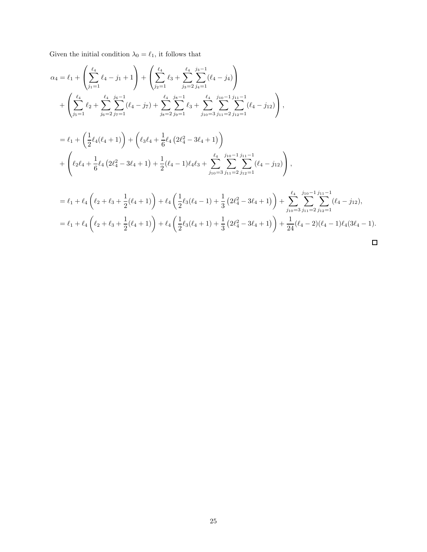Given the initial condition  $\lambda_0 = \ell_1,$  it follows that

$$
\alpha_{4} = \ell_{1} + \left(\sum_{j_{1}=1}^{\ell_{4}} \ell_{4} - j_{1} + 1\right) + \left(\sum_{j_{2}=1}^{\ell_{4}} \ell_{3} + \sum_{j_{3}=2}^{\ell_{4}} \sum_{j_{4}=1}^{j_{3}-1} (\ell_{4} - j_{4})\right) \n+ \left(\sum_{j_{5}=1}^{\ell_{4}} \ell_{2} + \sum_{j_{6}=2}^{\ell_{4}} \sum_{j_{7}=1}^{j_{6}-1} (\ell_{4} - j_{7}) + \sum_{j_{8}=2}^{\ell_{4}} \sum_{j_{9}=1}^{j_{8}-1} \ell_{3} + \sum_{j_{10}=3}^{\ell_{4}} \sum_{j_{11}=2}^{j_{10}-1} \sum_{j_{12}=1}^{j_{11}-1} (\ell_{4} - j_{12})\right), \n= \ell_{1} + \left(\frac{1}{2}\ell_{4}(\ell_{4} + 1)\right) + \left(\ell_{3}\ell_{4} + \frac{1}{6}\ell_{4}\left(2\ell_{4}^{2} - 3\ell_{4} + 1\right)\right) \n+ \left(\ell_{2}\ell_{4} + \frac{1}{6}\ell_{4}\left(2\ell_{4}^{2} - 3\ell_{4} + 1\right) + \frac{1}{2}(\ell_{4} - 1)\ell_{4}\ell_{3} + \sum_{j_{10}=3}^{\ell_{4}} \sum_{j_{11}=2}^{j_{10}-1} \sum_{j_{12}=1}^{j_{11}-1} (\ell_{4} - j_{12})\right), \n= \ell_{1} + \ell_{4}\left(\ell_{2} + \ell_{3} + \frac{1}{2}(\ell_{4} + 1)\right) + \ell_{4}\left(\frac{1}{2}\ell_{3}(\ell_{4} - 1) + \frac{1}{3}\left(2\ell_{4}^{2} - 3\ell_{4} + 1\right)\right) + \sum_{j_{10}=3}^{\ell_{4}} \sum_{j_{11}=2}^{j_{10}-1} \sum_{j_{12}=1}^{j_{11}-1} (\ell_{4} - j_{12}), \n= \ell_{1} + \ell_{4}\left(\ell_{2} + \ell_{3} + \frac{1}{2}(\ell_{4} + 1)\right) + \ell_{4}\left(\frac{1}{2}\ell_{3}(\ell_{4}
$$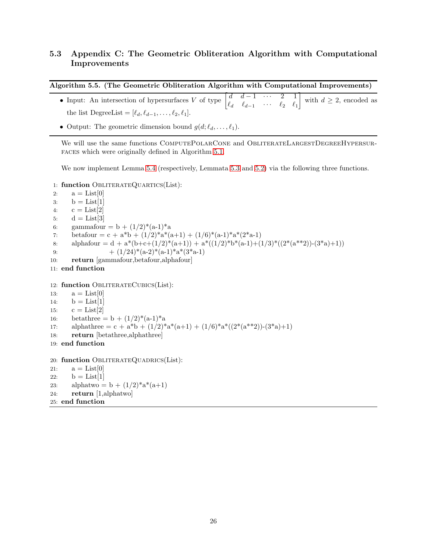## <span id="page-25-0"></span>5.3 Appendix C: The Geometric Obliteration Algorithm with Computational Improvements

<span id="page-25-1"></span>

|  | Algorithm 5.5. (The Geometric Obliteration Algorithm with Computational Improvements) |  |
|--|---------------------------------------------------------------------------------------|--|
|  |                                                                                       |  |

- Input: An intersection of hypersurfaces V of type  $\begin{bmatrix} d & d-1 & \cdots & 2 & 1 \\ a & a & 0 & a \end{bmatrix}$  $\ell_d$   $\ell_{d-1}$   $\cdots$   $\ell_2$   $\ell_1$ T with  $d \geq 2$ , encoded as the list DegreeList =  $[\ell_d, \ell_{d-1}, \ldots, \ell_2, \ell_1].$
- Output: The geometric dimension bound  $g(d; \ell_d, \ldots, \ell_1)$ .

We will use the same functions COMPUTEPOLARCONE and OBLITERATELARGESTDEGREEHYPERSURfaces which were originally defined in Algorithm [5.1.](#page-20-2)

We now implement Lemma [5.4](#page-23-0) (respectively, Lemmata [5.3](#page-22-2) and [5.2\)](#page-22-1) via the following three functions.

1: function OBLITERATEQUARTICS(List):

```
2: a = List[0]3: b = List[1]4: c = List[2]5: d = List[3]6: gammafour = b + (1/2)^*(a-1)^*a7: betafour = c + a^*b + (1/2)^*a^*(a+1) + (1/6)^*(a-1)^*a^*(2^*a-1)8: alphafour = d + a^*(b+c+(1/2)^*(a+1)) + a^*((1/2)^*b^*(a-1)+(1/3)^*((2^*(a^{**2}))- (3^*a)+1))9: + (1/24)^*(a-2)^*(a-1)^*a^*(3^*a-1)10: return [gammafour,betafour,alphafour]
11: end function
12: function OBLITERATECUBICS(List):
13: a = List[0]14: b = List[1]15: c = List[2]16: betathree = b + (1/2)^*(a-1)^*a17: alphathree = c + a*b + (1/2)^*a*(a+1) + (1/6)^*a*((2^*(a^{**}2))-(3^*a)+1)
18: return [betathree,alphathree]
19: end function
20: function OBLITERATEQUADRICS(List):
21: a = List[0]22: b = List[1]23: alphatwo = b + (1/2)^* a^* (a+1)24: return [1,alphatwo]
25: end function
```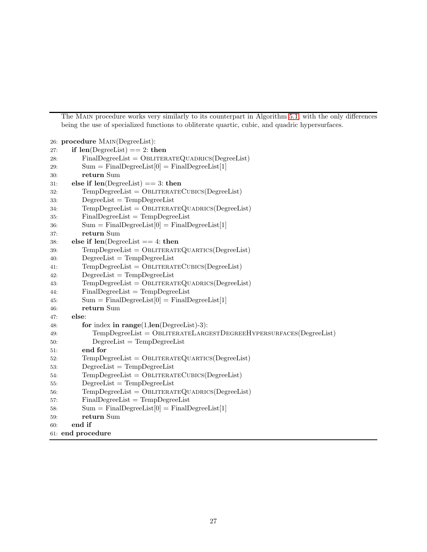The Main procedure works very similarly to its counterpart in Algorithm [5.1,](#page-20-2) with the only differences being the use of specialized functions to obliterate quartic, cubic, and quadric hypersurfaces.

```
26: procedure Main(DegreeList):
27: if len(DegreeList) == 2: then
28: FinalDegreeList = OBLITERATEQUADRICS(DegreeList)
29: \text{Sum} = \text{FinalDegreeList}[0] = \text{FinalDegreeList}[1]30: return Sum
31: else if len(DegreeList) == 3: then
32: TempDegreeList = OBLITERATECUBICS(DegreeList)
33: DegreeList = TempDegreeList
34: TempDegreeList = OBLITERATEQUADRICS(DegreeList)
35: FinalDegreeList = TempDegreeList
36: \text{Sum} = \text{FinalDegreeList}[0] = \text{FinalDegreeList}[1]37: return Sum
38: else if len(DegreeList == 4: then)39: TempDegreeList = OBLITERATEQUARTICS(DegreeList)
40: DegreeList = TempDegreeList
41: TempDegreeList = OBLITERATECUBICS(DegreeList)42: DegreeList = TempDegreeList
43: TempDegreeList = OBLITERATEQUADRICS(DegreeList)44: FinalDegreeList = TempDegreeList
45: Sum = FinalDegreeList[0] = FinalDegreeList[1]
46: return Sum
47: else:
48: for index in range(1, len(DegreeList)-3):
49: TempDegreeList = ObliterateLargestDegreeHypersurfaces(DegreeList)
50: DegreeList = TempDegreeList
51: end for
52: TempDegreeList = OBLITERATEQUARTICS(DegreeList)
53: DegreeList = TempDegreeList
54: TempDegreeList = OBLITERATECUBICS(DegreeList)
55: DegreeList = TempDegreeList
56: TempDegreeList = OBLITERATEQUADRICS(DegreeList)
57: FinalDegreeList = TempDegreeList
58: \text{Sum} = \text{FinalDegreeList}[0] = \text{FinalDegreeList}[1]59: return Sum
60: end if
61: end procedure
```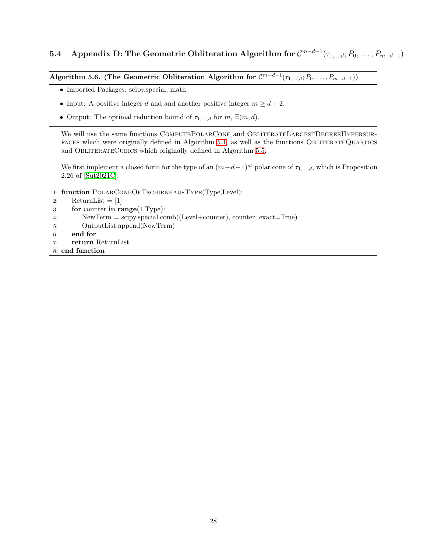# <span id="page-27-0"></span>**5.4** Appendix D: The Geometric Obliteration Algorithm for  $\mathcal{C}^{m-d-1}(\tau_{1,...,d};P_0,\ldots,P_{m-d-1})$

<span id="page-27-1"></span>Algorithm 5.6. (The Geometric Obliteration Algorithm for  $\mathcal{C}^{m-d-1}(\tau_{1,...,d};P_0,\ldots,P_{m-d-1})$ )

- Imported Packages: scipy.special, math
- Input: A positive integer d and and another positive integer  $m \geq d+2$ .
- Output: The optimal reduction bound of  $\tau_{1,\dots,d}$  for  $m, \Xi(m, d)$ .

We will use the same functions COMPUTEPOLARCONE and OBLITERATELARGESTDEGREEHYPERSURfaces which were originally defined in Algorithm [5.1,](#page-20-2) as well as the functions ObliterateQuartics and OBLITERATECUBICS which originally defined in Algorithm [5.5.](#page-25-1)

We first implement a closed form for the type of an  $(m-d-1)^{st}$  polar cone of  $\tau_{1,\dots,d}$ , which is Proposition 2.26 of [\[Sut2021C\]](#page-31-1).

- 1: function POLARCONEOFTSCHIRNHAUSTYPE(Type, Level):
- 2: ReturnList  $= [1]$
- 3: for counter in range(1,Type):
- 4: NewTerm = scipy.special.comb((Level+counter), counter, exact=True)
- 5: OutputList.append(NewTerm)
- 6: end for
- 7: return ReturnList
- 8: end function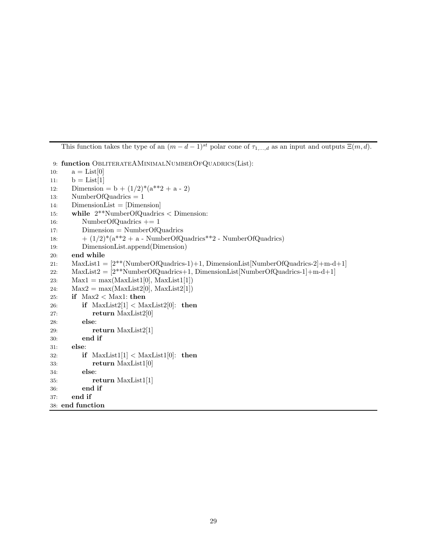This function takes the type of an  $(m - d - 1)^{st}$  polar cone of  $\tau_{1,\ldots,d}$  as an input and outputs  $\Xi(m, d)$ .

9: function ObliterateAMINIMALNUMBEROFQUADRICS(List): 10:  $a = List[0]$ 11:  $b = List[1]$ 12: Dimension =  $b + (1/2)^*(a^{**}2 + a - 2)$ 13: NumberOfQuadrics = 1 14: DimensionList = [Dimension] 15: while 2\*\*NumberOfQuadrics < Dimension: 16: NumberOfQuadrics += 1 17: Dimension = NumberOfQuadrics 18:  $+ (1/2)^*(a^{**}2 + a - \text{NumberOfQuadrics}^{**}2 - \text{NumberOfQuadrics})$ 19: DimensionList.append(Dimension) 20: end while 21: MaxList1 = [2\*\*(NumberOfQuadrics-1)+1, DimensionList[NumberOfQuadrics-2]+m-d+1] 22: MaxList2 =  $[2^{**}$ NumberOfQuadrics+1, DimensionList[NumberOfQuadrics-1 $]+m-d+1$ ] 23:  $Max1 = max(MaxList1[0], MaxList1[1])$ 24:  $Max2 = max(MaxList2[0], MaxList2[1])$ 25: if  $Max2 < Max1$ : then 26: if  $MaxList2[1] < MaxList2[0]$ : then 27: **return** MaxList2[0] 28: else: 29: **return** MaxList2[1] 30: end if 31: else: 32: if  $MaxList1[1] < MaxList1[0]$ : then 33: return MaxList1[0] 34: else: 35: return MaxList1[1] 36: end if 37: end if 38: end function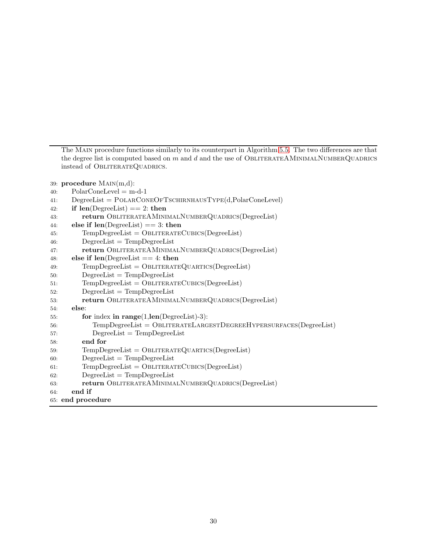The Main procedure functions similarly to its counterpart in Algorithm [5.5.](#page-25-1) The two differences are that the degree list is computed based on m and d and the use of OBLITERATEAMINIMALNUMBERQUADRICS instead of OBLITERATEQUADRICS.

```
39: procedure Main(m,d):
```

```
40: \text{PolarConeLevel} = \text{m-d-1}41: DegreeList = POLARCONEOFTSCHIRNHAUSTYPE(d, PolarConeLevel)
42: if len(\text{DegreeList}) == 2: then
43: return ObliterateAMinimalNumberQuadrics(DegreeList)
44: else if len(DegreeList) == 3: then45: TempDegreeList = OBLITERATECUBICS(DegreeList)
46: DegreeList = TempDegreeList
47: return ObliterateAMinimalNumberQuadrics(DegreeList)
48: else if len(\text{DegreeList} == 4: then)49: TempDegreeList = OBLITERATEQUARTICS(DegreeList)
50: DegreeList = TempDegreeList
51: TempDegreeList = OBLITERATECUBICS(DegreeList)
52: DegreeList = TempDegreeList
53: return ObliterateAMinimalNumberQuadrics(DegreeList)
54: else:
55: for index in range(1,len(DegreeList)-3):
56: TempDegreeList = ObliterateLargestDegreeHypersurfaces(DegreeList)
57: DegreeList = TempDegreeList
58: end for
59: TempDegreeList = OBLITERATEQUARTICS(DegreeList)
60: DegreeList = TempDegreeList61: TempDegreeList = OBLITERATECUBICS(DegreeList)
62: DegreeList = TempDegreeList
63: return ObliterateAMinimalNumberQuadrics(DegreeList)
64: end if
65: end procedure
```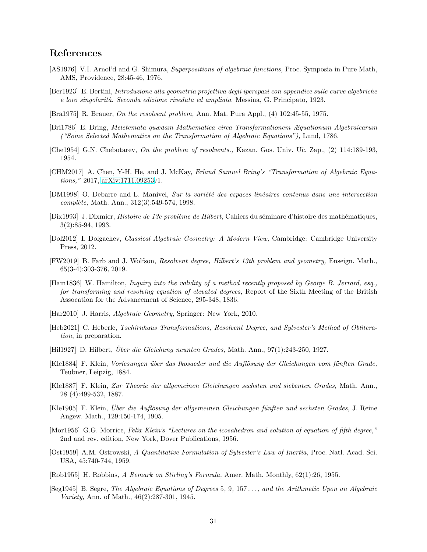## References

- <span id="page-30-1"></span>[AS1976] V.I. Arnol'd and G. Shimura, *Superpositions of algebraic functions,* Proc. Symposia in Pure Math, AMS, Providence, 28:45-46, 1976.
- <span id="page-30-9"></span>[Ber1923] E. Bertini, *Introduzione alla geometria projettiva degli iperspazi con appendice sulle curve algebriche e loro singolarit`a. Seconda edizione riveduta ed ampliata*. Messina, G. Principato, 1923.
- <span id="page-30-0"></span>[Bra1975] R. Brauer, *On the resolvent problem,* Ann. Mat. Pura Appl., (4) 102:45-55, 1975.
- <span id="page-30-12"></span>[Bri1786] E. Bring, *Meletemata quædam Mathematica circa Transformationem Æquationum Algebraicarum ("Some Selected Mathematics on the Transformation of Algebraic Equations"),* Lund, 1786.
- <span id="page-30-6"></span>[Che1954] G.N. Chebotarev, *On the problem of resolvents.*, Kazan. Gos. Univ. Uč. Zap., (2) 114:189-193, 1954.
- [CHM2017] A. Chen, Y-H. He, and J. McKay, *Erland Samuel Bring's "Transformation of Algebraic Equations,"* 2017, [arXiv:1711.09253v](http://arxiv.org/abs/1711.09253)1.
- <span id="page-30-5"></span>[DM1998] O. Debarre and L. Manivel, *Sur la variété des espaces linéaires contenus dans une intersection compl`ete,* Math. Ann., 312(3):549-574, 1998.
- <span id="page-30-3"></span>[Dix1993] J. Dixmier, *Histoire de 13e problème de Hilbert*, Cahiers du séminare d'histoire des mathématiques, 3(2):85-94, 1993.
- <span id="page-30-10"></span>[Dol2012] I. Dolgachev, *Classical Algebraic Geometry: A Modern View,* Cambridge: Cambridge University Press, 2012.
- <span id="page-30-2"></span>[FW2019] B. Farb and J. Wolfson, *Resolvent degree, Hilbert's 13th problem and geometry,* Enseign. Math., 65(3-4):303-376, 2019.
- <span id="page-30-13"></span>[Ham1836] W. Hamilton, *Inquiry into the validity of a method recently proposed by George B. Jerrard, esq., for transforming and resolving equation of elevated degrees,* Report of the Sixth Meeting of the British Assocation for the Advancement of Science, 295-348, 1836.
- <span id="page-30-8"></span>[Har2010] J. Harris, *Algebraic Geometry,* Springer: New York, 2010.
- <span id="page-30-4"></span>[Heb2021] C. Heberle, *Tschirnhaus Transformations, Resolvent Degree, and Sylvester's Method of Obliteration*, in preparation.
- <span id="page-30-14"></span>[Hil1927] D. Hilbert, *Uber die Gleichung neunten Grades, Math. Ann., 97(1):243-250, 1927.*
- <span id="page-30-15"></span>[Kle1884] F. Klein, *Vorlesungen ¨uber das Ikosaeder und die Aufl¨osung der Gleichungen vom f¨unften Grade,* Teubner, Leipzig, 1884.
- [Kle1887] F. Klein, *Zur Theorie der allgemeinen Gleichungen sechsten und siebenten Grades,* Math. Ann., 28 (4):499-532, 1887.
- <span id="page-30-16"></span>[Kle1905] F. Klein, *Uber die Aufl¨osung der allgemeinen Gleichungen f¨unften un ¨ d sechsten Grades,* J. Reine Angew. Math., 129:150-174, 1905.
- <span id="page-30-17"></span>[Mor1956] G.G. Morrice, *Felix Klein's "Lectures on the icosahedron and solution of equation of fifth degree,"* 2nd and rev. edition, New York, Dover Publications, 1956.
- <span id="page-30-11"></span>[Ost1959] A.M. Ostrowski, *A Quantitative Formulation of Sylvester's Law of Inertia,* Proc. Natl. Acad. Sci. USA, 45:740-744, 1959.
- [Rob1955] H. Robbins, *A Remark on Stirling's Formula,* Amer. Math. Monthly, 62(1):26, 1955.
- <span id="page-30-7"></span>[Seg1945] B. Segre, *The Algebraic Equations of Degrees* 5*,* 9*,* 157 . . .*, and the Arithmetic Upon an Algebraic Variety,* Ann. of Math., 46(2):287-301, 1945.